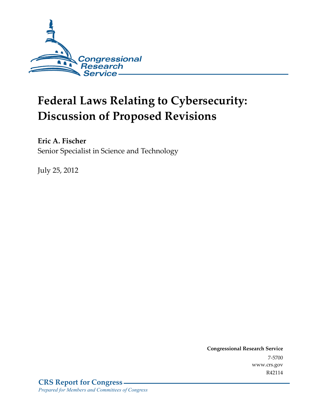

# **Federal Laws Relating to Cybersecurity: Discussion of Proposed Revisions**

**Eric A. Fischer** 

Senior Specialist in Science and Technology

July 25, 2012

**Congressional Research Service**  7-5700 www.crs.gov R42114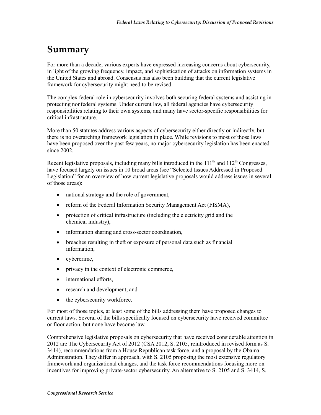# **Summary**

For more than a decade, various experts have expressed increasing concerns about cybersecurity, in light of the growing frequency, impact, and sophistication of attacks on information systems in the United States and abroad. Consensus has also been building that the current legislative framework for cybersecurity might need to be revised.

The complex federal role in cybersecurity involves both securing federal systems and assisting in protecting nonfederal systems. Under current law, all federal agencies have cybersecurity responsibilities relating to their own systems, and many have sector-specific responsibilities for critical infrastructure.

More than 50 statutes address various aspects of cybersecurity either directly or indirectly, but there is no overarching framework legislation in place. While revisions to most of those laws have been proposed over the past few years, no major cybersecurity legislation has been enacted since 2002.

Recent legislative proposals, including many bills introduced in the  $111<sup>th</sup>$  and  $112<sup>th</sup>$  Congresses, have focused largely on issues in 10 broad areas (see "Selected Issues Addressed in Proposed Legislation" for an overview of how current legislative proposals would address issues in several of those areas):

- national strategy and the role of government,
- reform of the Federal Information Security Management Act (FISMA),
- protection of critical infrastructure (including the electricity grid and the chemical industry),
- information sharing and cross-sector coordination,
- breaches resulting in theft or exposure of personal data such as financial information,
- cybercrime,
- privacy in the context of electronic commerce,
- international efforts,
- research and development, and
- the cybersecurity workforce.

For most of those topics, at least some of the bills addressing them have proposed changes to current laws. Several of the bills specifically focused on cybersecurity have received committee or floor action, but none have become law.

Comprehensive legislative proposals on cybersecurity that have received considerable attention in 2012 are The Cybersecurity Act of 2012 (CSA 2012, S. 2105, reintroduced in revised form as S. 3414), recommendations from a House Republican task force, and a proposal by the Obama Administration. They differ in approach, with S. 2105 proposing the most extensive regulatory framework and organizational changes, and the task force recommendations focusing more on incentives for improving private-sector cybersecurity. An alternative to S. 2105 and S. 3414, S.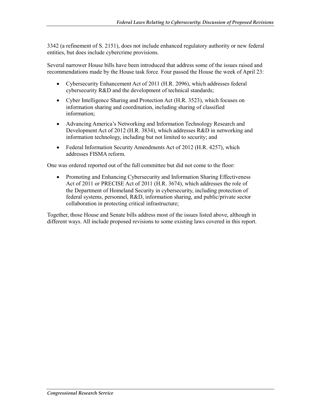3342 (a refinement of S. 2151), does not include enhanced regulatory authority or new federal entities, but does include cybercrime provisions.

Several narrower House bills have been introduced that address some of the issues raised and recommendations made by the House task force*.* Four passed the House the week of April 23:

- Cybersecurity Enhancement Act of 2011 (H.R. 2096), which addresses federal cybersecurity R&D and the development of technical standards;
- Cyber Intelligence Sharing and Protection Act (H.R. 3523), which focuses on information sharing and coordination, including sharing of classified information;
- Advancing America's Networking and Information Technology Research and Development Act of 2012 (H.R. 3834), which addresses R&D in networking and information technology, including but not limited to security; and
- Federal Information Security Amendments Act of 2012 (H.R. 4257), which addresses FISMA reform.

One was ordered reported out of the full committee but did not come to the floor:

• Promoting and Enhancing Cybersecurity and Information Sharing Effectiveness Act of 2011 or PRECISE Act of 2011 (H.R. 3674), which addresses the role of the Department of Homeland Security in cybersecurity, including protection of federal systems, personnel, R&D, information sharing, and public/private sector collaboration in protecting critical infrastructure;

Together, those House and Senate bills address most of the issues listed above, although in different ways. All include proposed revisions to some existing laws covered in this report.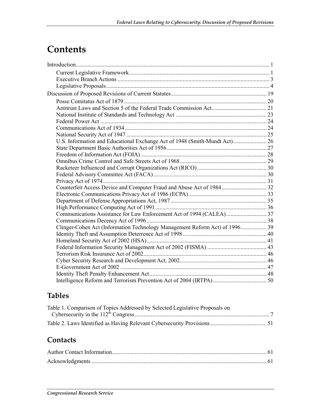# **Contents**

| U.S. Information and Educational Exchange Act of 1948 (Smith-Mundt Act) 26  |  |
|-----------------------------------------------------------------------------|--|
|                                                                             |  |
|                                                                             |  |
|                                                                             |  |
|                                                                             |  |
|                                                                             |  |
|                                                                             |  |
| Counterfeit Access Device and Computer Fraud and Abuse Act of 1984 32       |  |
|                                                                             |  |
|                                                                             |  |
|                                                                             |  |
|                                                                             |  |
|                                                                             |  |
| Clinger-Cohen Act (Information Technology Management Reform Act) of 1996 39 |  |
|                                                                             |  |
|                                                                             |  |
|                                                                             |  |
|                                                                             |  |
|                                                                             |  |
|                                                                             |  |
|                                                                             |  |
|                                                                             |  |

# **Tables**

| Table 1. Comparison of Topics Addressed by Selected Legislative Proposals on |  |
|------------------------------------------------------------------------------|--|
|                                                                              |  |
|                                                                              |  |

# **Contacts**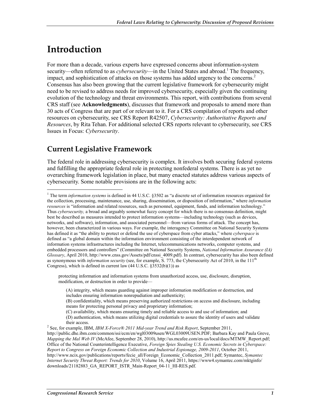# **Introduction**

<u>.</u>

For more than a decade, various experts have expressed concerns about information-system security—often referred to as *cybersecurity*—in the United States and abroad.<sup>1</sup> The frequency, impact, and sophistication of attacks on those systems has added urgency to the concerns.<sup>2</sup> Consensus has also been growing that the current legislative framework for cybersecurity might need to be revised to address needs for improved cybersecurity, especially given the continuing evolution of the technology and threat environments. This report, with contributions from several CRS staff (see **Acknowledgments**), discusses that framework and proposals to amend more than 30 acts of Congress that are part of or relevant to it. For a CRS compilation of reports and other resources on cybersecurity, see CRS Report R42507, *Cybersecurity: Authoritative Reports and Resources*, by Rita Tehan. For additional selected CRS reports relevant to cybersecurity, see CRS Issues in Focus: *Cybersecurity*.

# **Current Legislative Framework**

The federal role in addressing cybersecurity is complex. It involves both securing federal systems and fulfilling the appropriate federal role in protecting nonfederal systems. There is as yet no overarching framework legislation in place, but many enacted statutes address various aspects of cybersecurity. Some notable provisions are in the following acts:

protecting information and information systems from unauthorized access, use, disclosure, disruption, modification, or destruction in order to provide—

(C) availability, which means ensuring timely and reliable access to and use of information; and

<sup>&</sup>lt;sup>1</sup> The term *information systems* is defined in 44 U.S.C. §3502 as "a discrete set of information resources organized for the collection, processing, maintenance, use, sharing, dissemination, or disposition of information," where *information resources* is "information and related resources, such as personnel, equipment, funds, and information technology." Thus *cybersecurity,* a broad and arguably somewhat fuzzy concept for which there is no consensus definition, might best be described as measures intended to protect information systems—including technology (such as devices, networks, and software), information, and associated personnel—from various forms of attack. The concept has, however, been characterized in various ways. For example, the interagency Committee on National Security Systems has defined it as "the ability to protect or defend the use of cyberspace from cyber attacks," where *cyberspace* is defined as "a global domain within the information environment consisting of the interdependent network of information systems infrastructures including the Internet, telecommunications networks, computer systems, and embedded processors and controllers" (Committee on National Security Systems, *National Information Assurance (IA) Glossary*, April 2010, http://www.cnss.gov/Assets/pdf/cnssi\_4009.pdf). In contrast, cybersecurity has also been defined as synonymous with *information security* (see, for example, S. 773, the Cybersecurity Act of 2010, in the 111<sup>th</sup> Congress), which is defined in current law  $(44 \text{ U.S.C. } §3532(b)(1))$  as

<sup>(</sup>A) integrity, which means guarding against improper information modification or destruction, and includes ensuring information nonrepudiation and authenticity;

<sup>(</sup>B) confidentiality, which means preserving authorized restrictions on access and disclosure, including means for protecting personal privacy and proprietary information;

<sup>(</sup>D) authentication, which means utilizing digital credentials to assure the identity of users and validate their access. 2 See, for example, IBM, *IBM X-Force® 2011 Mid-year Trend and Risk Report*, September 2011,

http://public.dhe.ibm.com/common/ssi/ecm/en/wgl03009usen/WGL03009USEN.PDF; Barbara Kay and Paula Greve, *Mapping the Mal Web IV* (McAfee, September 28, 2010), http://us.mcafee.com/en-us/local/docs/MTMW\_Report.pdf; Office of the National Counterintelligence Executive, *Foreign Spies Stealing U.S. Economic Secrets in Cyberspace: Report to Congress on Foreign Economic Collection and Industrial Espionage, 2009-2011*, October 2011, http://www.ncix.gov/publications/reports/fecie\_all/Foreign\_Economic\_Collection\_2011.pdf; Symantec, *Symantec Internet Security Threat Report: Trends for 2010*, Volume 16, April 2011, https://www4.symantec.com/mktginfo/ downloads/21182883\_GA\_REPORT\_ISTR\_Main-Report\_04-11\_HI-RES.pdf.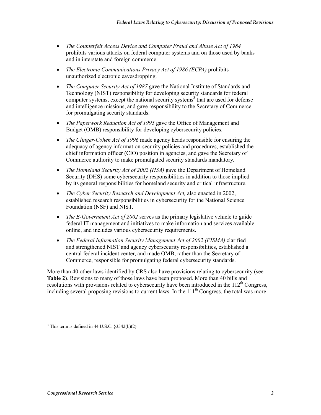- *The Counterfeit Access Device and Computer Fraud and Abuse Act of 1984* prohibits various attacks on federal computer systems and on those used by banks and in interstate and foreign commerce.
- *The Electronic Communications Privacy Act of 1986 (ECPA)* prohibits unauthorized electronic eavesdropping.
- *The Computer Security Act of 1987* gave the National Institute of Standards and Technology (NIST) responsibility for developing security standards for federal computer systems, except the national security systems<sup>3</sup> that are used for defense and intelligence missions, and gave responsibility to the Secretary of Commerce for promulgating security standards.
- *The Paperwork Reduction Act of 1995* gave the Office of Management and Budget (OMB) responsibility for developing cybersecurity policies.
- *The Clinger-Cohen Act of 1996* made agency heads responsible for ensuring the adequacy of agency information-security policies and procedures, established the chief information officer (CIO) position in agencies, and gave the Secretary of Commerce authority to make promulgated security standards mandatory.
- *The Homeland Security Act of 2002 (HSA)* gave the Department of Homeland Security (DHS) some cybersecurity responsibilities in addition to those implied by its general responsibilities for homeland security and critical infrastructure.
- *The Cyber Security Research and Development Act, also enacted in 2002,* established research responsibilities in cybersecurity for the National Science Foundation (NSF) and NIST.
- *The E-Government Act of 2002* serves as the primary legislative vehicle to guide federal IT management and initiatives to make information and services available online, and includes various cybersecurity requirements.
- *The Federal Information Security Management Act of 2002 (FISMA)* clarified and strengthened NIST and agency cybersecurity responsibilities, established a central federal incident center, and made OMB, rather than the Secretary of Commerce, responsible for promulgating federal cybersecurity standards.

More than 40 other laws identified by CRS also have provisions relating to cybersecurity (see **Table 2**). Revisions to many of those laws have been proposed. More than 40 bills and resolutions with provisions related to cybersecurity have been introduced in the  $112<sup>th</sup>$  Congress, including several proposing revisions to current laws. In the  $111<sup>th</sup>$  Congress, the total was more

 $\frac{3}{3}$  This term is defined in 44 U.S.C. §3542(b)(2).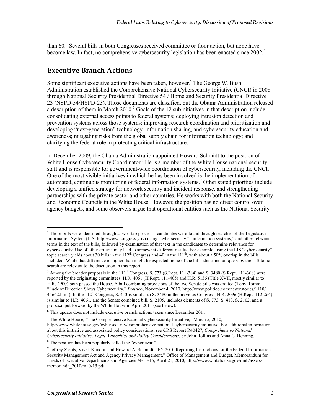than 60.<sup>4</sup> Several bills in both Congresses received committee or floor action, but none have become law. In fact, no comprehensive cybersecurity legislation has been enacted since 2002.<sup>5</sup>

## **Executive Branch Actions**

Some significant executive actions have been taken, however.<sup>6</sup> The George W. Bush Administration established the Comprehensive National Cybersecurity Initiative (CNCI) in 2008 through National Security Presidential Directive 54 / Homeland Security Presidential Directive 23 (NSPD-54/HSPD-23). Those documents are classified, but the Obama Administration released a description of them in March  $2010$ .<sup>7</sup> Goals of the 12 subinitiatives in that description include consolidating external access points to federal systems; deploying intrusion detection and prevention systems across those systems; improving research coordination and prioritization and developing "next-generation" technology, information sharing, and cybersecurity education and awareness; mitigating risks from the global supply chain for information technology; and clarifying the federal role in protecting critical infrastructure.

In December 2009, the Obama Administration appointed Howard Schmidt to the position of White House Cybersecurity Coordinator.<sup>8</sup> He is a member of the White House national security staff and is responsible for government-wide coordination of cybersecurity, including the CNCI. One of the most visible initiatives in which he has been involved is the implementation of automated, continuous monitoring of federal information systems.<sup>9</sup> Other stated priorities include developing a unified strategy for network security and incident response, and strengthening partnerships with the private sector and other countries. He works with both the National Security and Economic Councils in the White House. However, the position has no direct control over agency budgets, and some observers argue that operational entities such as the National Security

<sup>1</sup> <sup>4</sup> Those bills were identified through a two-step process—candidates were found through searches of the Legislative Information System (LIS, http://www.congress.gov) using "cybersecurity," "information systems," and other relevant terms in the text of the bills, followed by examination of that text in the candidates to determine relevance for cybersecurity. Use of other criteria may lead to somewhat different results. For example, using the LIS "cybersecurity" topic search yields about 30 bills in the  $112<sup>th</sup>$  Congress and 40 in the  $111<sup>th</sup>$ , with about a 50% overlap in the bills included. While that difference is higher than might be expected, none of the bills identified uniquely by the LIS topic search are relevant to the discussion in this report.

 $<sup>5</sup>$  Among the broader proposals in the 111<sup>th</sup> Congress, S. 773 (S.Rept. 111-384) and S. 3480 (S.Rept. 111-368) were</sup> reported by the originating committees. H.R. 4061 (H.Rept. 111-405) and H.R. 5136 (Title XVII, mostly similar to H.R. 4900) both passed the House. A bill combining provisions of the two Senate bills was drafted (Tony Romm, "Lack of Direction Slows Cybersecurity," *Politico*, November 4, 2010, http://www.politico.com/news/stories/1110/ 44662.html). In the  $112<sup>th</sup>$  Congress, S. 413 is similar to S. 3480 in the previous Congress, H.R. 2096 (H.Rept. 112-264) is similar to H.R. 4061, and the Senate combined bill, S. 2105, includes elements of S. 773, S. 413, S. 2102, and a proposal put forward by the White House in April 2011 (see below).

<sup>&</sup>lt;sup>6</sup> This update does not include executive branch actions taken since December 2011.

<sup>&</sup>lt;sup>7</sup> The White House, "The Comprehensive National Cybersecurity Initiative," March 5, 2010, http://www.whitehouse.gov/cybersecurity/comprehensive-national-cybersecurity-initiative. For additional information about this initiative and associated policy considerations, see CRS Report R40427, *Comprehensive National Cybersecurity Initiative: Legal Authorities and Policy Considerations*, by John Rollins and Anna C. Henning.

<sup>&</sup>lt;sup>8</sup> The position has been popularly called the "cyber czar."

<sup>9</sup> Jeffrey Zients, Vivek Kundra, and Howard A. Schmidt, "FY 2010 Reporting Instructions for the Federal Information Security Management Act and Agency Privacy Management," Office of Management and Budget, Memorandum for Heads of Executive Departments and Agencies M-10-15, April 21, 2010, http://www.whitehouse.gov/omb/assets/ memoranda\_2010/m10-15.pdf.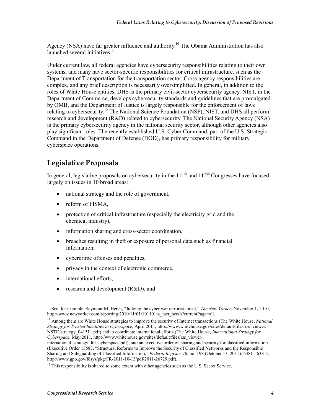Agency (NSA) have far greater influence and authority.<sup>10</sup> The Obama Administration has also launched several initiatives.<sup>11</sup>

Under current law, all federal agencies have cybersecurity responsibilities relating to their own systems, and many have sector-specific responsibilities for critical infrastructure, such as the Department of Transportation for the transportation sector. Cross-agency responsibilities are complex, and any brief description is necessarily oversimplified. In general, in addition to the roles of White House entities, DHS is the primary civil-sector cybersecurity agency. NIST, in the Department of Commerce, develops cybersecurity standards and guidelines that are promulgated by OMB, and the Department of Justice is largely responsible for the enforcement of laws relating to cybersecurity.<sup>12</sup> The National Science Foundation (NSF), NIST, and DHS all perform research and development (R&D) related to cybersecurity. The National Security Agency (NSA) is the primary cybersecurity agency in the national security sector, although other agencies also play significant roles. The recently established U.S. Cyber Command, part of the U.S. Strategic Command in the Department of Defense (DOD), has primary responsibility for military cyberspace operations.

# **Legislative Proposals**

In general, legislative proposals on cybersecurity in the  $111<sup>th</sup>$  and  $112<sup>th</sup>$  Congresses have focused largely on issues in 10 broad areas:

- national strategy and the role of government,
- reform of FISMA,
- protection of critical infrastructure (especially the electricity grid and the chemical industry),
- information sharing and cross-sector coordination.
- breaches resulting in theft or exposure of personal data such as financial information,
- cybercrime offenses and penalties,
- privacy in the context of electronic commerce,
- international efforts.
- research and development (R&D), and

<sup>&</sup>lt;u>.</u> 10 See, for example, Seymour M. Hersh, "Judging the cyber war terrorist threat," *The New Yorker*, November 1, 2010, http://www.newyorker.com/reporting/2010/11/01/101101fa fact\_hersh?currentPage=all.

<sup>11</sup> Among them are White House strategies to improve the security of Internet transactions (The White House, *National Strategy for Trusted Identities in Cyberspace*, April 2011, http://www.whitehouse.gov/sites/default/files/rss\_viewer/ NSTICstrategy\_041511.pdf) and to coordinate international efforts (The White House, *International Strategy for Cyberspace*, May 2011, http://www.whitehouse.gov/sites/default/files/rss\_viewer/

international strategy for cyberspace.pdf), and an executive order on sharing and security for classified information (Executive Order 13587, "Structural Reforms to Improve the Security of Classified Networks and the Responsible Sharing and Safeguarding of Classified Information," *Federal Register* 76, no. 198 (October 13, 2011): 63811-63815, http://www.gpo.gov/fdsys/pkg/FR-2011-10-13/pdf/2011-26729.pdf).

 $12$  This responsibility is shared to some extent with other agencies such as the U.S. Secret Service.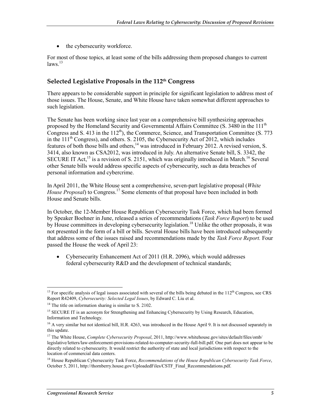• the cybersecurity workforce.

For most of those topics, at least some of the bills addressing them proposed changes to current  $laws.<sup>13</sup>$ 

#### **Selected Legislative Proposals in the 112th Congress**

There appears to be considerable support in principle for significant legislation to address most of those issues. The House, Senate, and White House have taken somewhat different approaches to such legislation.

The Senate has been working since last year on a comprehensive bill synthesizing approaches proposed by the Homeland Security and Governmental Affairs Committee (S. 3480 in the 111<sup>th</sup> Congress and S. 413 in the  $112<sup>th</sup>$ ), the Commerce, Science, and Transportation Committee (S. 773 in the  $111<sup>th</sup>$  Congress), and others. S. 2105, the Cybersecurity Act of 2012, which includes features of both those bills and others,<sup>14</sup> was introduced in February 2012. A revised version, S. 3414, also known as CSA2012, was introduced in July. An alternative Senate bill, S. 3342, the SECURE IT Act,<sup>15</sup> is a revision of S. 2151, which was originally introduced in March.<sup>16</sup> Several other Senate bills would address specific aspects of cybersecurity, such as data breaches of personal information and cybercrime.

In April 2011, the White House sent a comprehensive, seven-part legislative proposal (*White House Proposal*) to Congress.<sup>17</sup> Some elements of that proposal have been included in both House and Senate bills.

In October, the 12-Member House Republican Cybersecurity Task Force, which had been formed by Speaker Boehner in June, released a series of recommendations (*Task Force Report*) to be used by House committees in developing cybersecurity legislation.<sup>18</sup> Unlike the other proposals, it was not presented in the form of a bill or bills. Several House bills have been introduced subsequently that address some of the issues raised and recommendations made by the *Task Force Report.* Four passed the House the week of April 23:

• Cybersecurity Enhancement Act of 2011 (H.R. 2096), which would addresses federal cybersecurity R&D and the development of technical standards;

<sup>&</sup>lt;u>.</u> <sup>13</sup> For specific analysis of legal issues associated with several of the bills being debated in the  $112<sup>th</sup>$  Congress, see CRS Report R42409, *Cybersecurity: Selected Legal Issues*, by Edward C. Liu et al.

 $14$  The title on information sharing is similar to S. 2102.

<sup>&</sup>lt;sup>15</sup> SECURE IT is an acronym for Strengthening and Enhancing Cybersecurity by Using Research, Education, Information and Technology.

<sup>&</sup>lt;sup>16</sup> A very similar but not identical bill, H.R. 4263, was introduced in the House April 9. It is not discussed separately in this update.

<sup>17</sup> The White House, *Complete Cybersecurity Proposal*, 2011, http://www.whitehouse.gov/sites/default/files/omb/ legislative/letters/law-enforcement-provisions-related-to-computer-security-full-bill.pdf. One part does not appear to be directly related to cybersecurity. It would restrict the authority of state and local jurisdictions with respect to the location of commercial data centers.

<sup>18</sup> House Republican Cybersecurity Task Force, *Recommendations of the House Republican Cybersecurity Task Force*, October 5, 2011, http://thornberry.house.gov/UploadedFiles/CSTF\_Final\_Recommendations.pdf.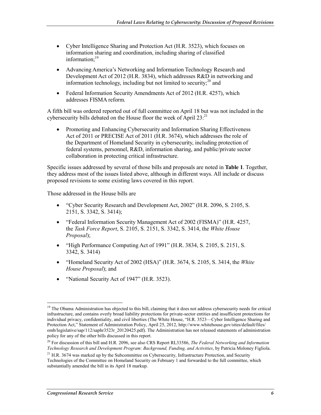- Cyber Intelligence Sharing and Protection Act (H.R. 3523), which focuses on information sharing and coordination, including sharing of classified information:<sup>19</sup>
- Advancing America's Networking and Information Technology Research and Development Act of 2012 (H.R. 3834), which addresses R&D in networking and information technology, including but not limited to security; $^{20}$  and
- Federal Information Security Amendments Act of 2012 (H.R. 4257), which addresses FISMA reform.

A fifth bill was ordered reported out of full committee on April 18 but was not included in the cybersecurity bills debated on the House floor the week of April  $23$ <sup>21</sup>

• Promoting and Enhancing Cybersecurity and Information Sharing Effectiveness Act of 2011 or PRECISE Act of 2011 (H.R. 3674), which addresses the role of the Department of Homeland Security in cybersecurity, including protection of federal systems, personnel, R&D, information sharing, and public/private sector collaboration in protecting critical infrastructure.

Specific issues addressed by several of those bills and proposals are noted in **Table 1**. Together, they address most of the issues listed above, although in different ways. All include or discuss proposed revisions to some existing laws covered in this report.

Those addressed in the House bills are

- "Cyber Security Research and Development Act, 2002" (H.R. 2096, S. 2105, S. 2151, S. 3342, S. 3414);
- "Federal Information Security Management Act of 2002 (FISMA)" (H.R. 4257, the *Task Force Report*, S. 2105, S. 2151, S. 3342, S. 3414, the *White House Proposal*);
- "High Performance Computing Act of 1991" (H.R. 3834, S. 2105, S. 2151, S. 3342, S. 3414)
- "Homeland Security Act of 2002 (HSA)" (H.R. 3674, S. 2105, S. 3414, the *White House Proposal*); and
- "National Security Act of 1947" (H.R. 3523).

<sup>&</sup>lt;u>.</u> <sup>19</sup> The Obama Administration has objected to this bill, claiming that it does not address cybersecurity needs for critical infrastructure, and contains overly broad liability protections for private-sector entities and insufficient protections for individual privacy, confidentiality, and civil liberties (The White House, "H.R. 3523—Cyber Intelligence Sharing and Protection Act," Statement of Administration Policy, April 25, 2012, http://www.whitehouse.gov/sites/default/files/ omb/legislative/sap/112/saphr3523r\_20120425.pdf). The Administration has not released statements of administration policy for any of the other bills discussed in this report.

<sup>20</sup> For discussion of this bill and H.R. 2096, see also CRS Report RL33586, *The Federal Networking and Information Technology Research and Development Program: Background, Funding, and Activities*, by Patricia Moloney Figliola.

<sup>&</sup>lt;sup>21</sup> H.R. 3674 was marked up by the Subcommittee on Cybersecurity, Infrastructure Protection, and Security Technologies of the Committee on Homeland Security on February 1 and forwarded to the full committee, which substantially amended the bill in its April 18 markup.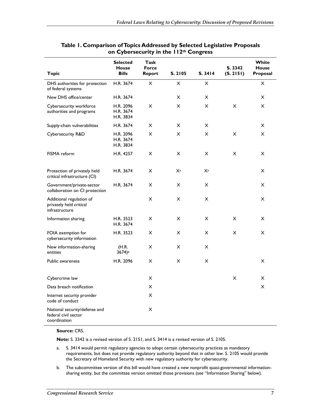|                                                                       | <b>Selected</b><br><b>House</b>     | <b>Task</b><br><b>Force</b> |                           |                | S. 3342        | White<br><b>House</b> |
|-----------------------------------------------------------------------|-------------------------------------|-----------------------------|---------------------------|----------------|----------------|-----------------------|
| <b>Topic</b>                                                          | <b>Bills</b>                        | <b>Report</b>               | S. 2105                   | S. 3414        | (S. 2151)      | Proposal              |
| DHS authorities for protection<br>of federal systems                  | H.R. 3674                           | X                           | $\times$                  | X              |                | $\pmb{\times}$        |
| New DHS office/center                                                 | H.R. 3674                           |                             | X                         | $\pmb{\times}$ |                | $\pmb{\times}$        |
| Cybersecurity workforce<br>authorities and programs                   | H.R. 2096<br>H.R. 3674<br>H.R. 3834 | $\boldsymbol{\mathsf{X}}$   | $\times$                  | X              | $\mathsf{x}$   | X                     |
| Supply-chain vulnerabilities                                          | H.R. 3674                           | $\boldsymbol{\mathsf{X}}$   | X                         | X              |                | X                     |
| Cybersecurity R&D                                                     | H.R. 2096<br>H.R. 3674<br>H.R. 3834 | X                           | X                         | X              | X              | X                     |
| FISMA reform                                                          | H.R. 4257                           | X                           | X                         | X              | X              | X                     |
| Protection of privately held<br>critical infrastructure (CI)          | H.R. 3674                           | X                           | Xa                        | Xa             |                | X                     |
| Government/private-sector<br>collaboration on CI protection           | H.R. 3674                           | X                           | X                         | X              |                | X                     |
| Additional regulation of<br>privately held critical<br>infrastructure |                                     | $\pmb{\times}$              | $\pmb{\times}$            | $\pmb{\times}$ |                | X                     |
| Information sharing                                                   | H.R. 3523<br>H.R. 3674              | X                           | X                         | X              | X              | X                     |
| FOIA exemption for<br>cybersecurity information                       | H.R. 3523                           | X                           | $\boldsymbol{\mathsf{X}}$ | X              | $\pmb{\times}$ | X                     |
| New information-sharing<br>entities                                   | (H.R.<br>3674)b                     | X                           | X                         | X              |                |                       |
| Public awareness                                                      | H.R. 2096                           | $\pmb{\times}$              | $\boldsymbol{\mathsf{X}}$ | X              |                | X                     |
| Cybercrime law                                                        |                                     | X                           |                           |                | $\pmb{\times}$ | X                     |
| Data breach notification                                              |                                     | $\pmb{\times}$              |                           |                |                | $\pmb{\times}$        |
| Internet security provider<br>code of conduct                         |                                     | X                           |                           |                |                |                       |
| National security/defense and<br>federal civil sector<br>coordination |                                     | X                           |                           |                |                |                       |

#### **Table 1. Comparison of Topics Addressed by Selected Legislative Proposals on Cybersecurity in the 112th Congress**

#### **Source:** CRS.

**Note:** S. 3342 is a revised version of S. 2151, and S. 3414 is a revised version of S. 2105.

- a. S. 3414 would permit regulatory agencies to adopt certain cybersecurity practices as mandatory requirements, but does not provide regulatory authority beyond that in other law. S. 2105 would provide the Secretary of Homeland Security with new regulatory authority for cybersecurity.
- b. The subcommittee version of this bill would have created a new nonprofit quasi-governmental informationsharing entity, but the committee version omitted those provisions (see "Information Sharing" below).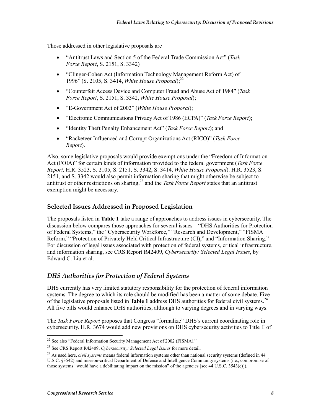Those addressed in other legislative proposals are

- "Antitrust Laws and Section 5 of the Federal Trade Commission Act" (*Task Force Report*, S. 2151, S. 3342)
- "Clinger-Cohen Act (Information Technology Management Reform Act) of 1996" (S. 2105, S. 3414, *White House Proposal*);<sup>22</sup>
- "Counterfeit Access Device and Computer Fraud and Abuse Act of 1984" (*Task Force Report*, S. 2151, S. 3342, *White House Proposal*);
- "E-Government Act of 2002" (*White House Proposal*);
- "Electronic Communications Privacy Act of 1986 (ECPA)" (*Task Force Report*);
- "Identity Theft Penalty Enhancement Act" (*Task Force Report*); and
- "Racketeer Influenced and Corrupt Organizations Act (RICO)" (*Task Force Report*).

Also, some legislative proposals would provide exemptions under the "Freedom of Information Act (FOIA)" for certain kinds of information provided to the federal government (*Task Force Report,* H.R. 3523, S. 2105, S. 2151, S. 3342, S. 3414, *White House Proposal*). H.R. 3523, S. 2151, and S. 3342 would also permit information sharing that might otherwise be subject to antitrust or other restrictions on sharing,<sup>23</sup> and the *Task Force Report* states that an antitrust exemption might be necessary.

#### **Selected Issues Addressed in Proposed Legislation**

The proposals listed in **Table 1** take a range of approaches to address issues in cybersecurity. The discussion below compares those approaches for several issues—"DHS Authorities for Protection of Federal Systems," the "Cybersecurity Workforce," "Research and Development," "FISMA Reform," "Protection of Privately Held Critical Infrastructure (CI)," and "Information Sharing." For discussion of legal issues associated with protection of federal systems, critical infrastructure, and information sharing, see CRS Report R42409, *Cybersecurity: Selected Legal Issues*, by Edward C. Liu et al.

#### *DHS Authorities for Protection of Federal Systems*

DHS currently has very limited statutory responsibility for the protection of federal information systems. The degree to which its role should be modified has been a matter of some debate. Five of the legislative proposals listed in **Table 1** address DHS authorities for federal civil systems.24 All five bills would enhance DHS authorities, although to varying degrees and in varying ways.

The *Task Force Report* proposes that Congress "formalize" DHS's current coordinating role in cybersecurity. H.R. 3674 would add new provisions on DHS cybersecurity activities to Title II of

1

 $22$  See also "Federal Information Security Management Act of 2002 (FISMA)."

<sup>23</sup> See CRS Report R42409, *Cybersecurity: Selected Legal Issues* for more detail.

<sup>&</sup>lt;sup>24</sup> As used here, *civil systems* means federal information systems other than national security systems (defined in 44 U.S.C. §3542) and mission-critical Department of Defense and Intelligence Community systems (i.e., compromise of those systems "would have a debilitating impact on the mission" of the agencies [see 44 U.S.C. 3543(c)]).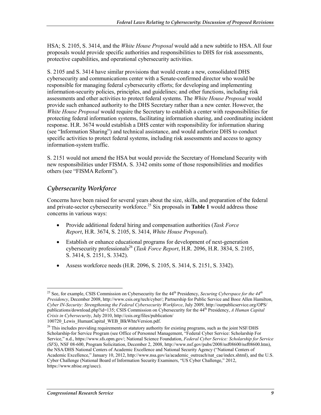HSA; S. 2105, S. 3414, and the *White House Proposal* would add a new subtitle to HSA. All four proposals would provide specific authorities and responsibilities to DHS for risk assessments, protective capabilities, and operational cybersecurity activities.

S. 2105 and S. 3414 have similar provisions that would create a new, consolidated DHS cybersecurity and communications center with a Senate-confirmed director who would be responsible for managing federal cybersecurity efforts; for developing and implementing information-security policies, principles, and guidelines; and other functions, including risk assessments and other activities to protect federal systems. The *White House Proposal* would provide such enhanced authority to the DHS Secretary rather than a new center. However, the *White House Proposal* would require the Secretary to establish a center with responsibilities for protecting federal information systems, facilitating information sharing, and coordinating incident response. H.R. 3674 would establish a DHS center with responsibility for information sharing (see "Information Sharing") and technical assistance, and would authorize DHS to conduct specific activities to protect federal systems, including risk assessments and access to agency information-system traffic.

S. 2151 would not amend the HSA but would provide the Secretary of Homeland Security with new responsibilities under FISMA. S. 3342 omits some of those responsibilities and modifies others (see "FISMA Reform").

#### *Cybersecurity Workforce*

Concerns have been raised for several years about the size, skills, and preparation of the federal and private-sector cybersecurity workforce.<sup>25</sup> Six proposals in **Table 1** would address those concerns in various ways:

- Provide additional federal hiring and compensation authorities (*Task Force Report*, H.R. 3674, S. 2105, S. 3414, *White House Proposal*).
- Establish or enhance educational programs for development of next-generation cybersecurity professionals<sup>26</sup> (*Task Force Report*, H.R. 2096, H.R. 3834, S. 2105, S. 3414, S. 2151, S. 3342).
- Assess workforce needs (H.R. 2096, S. 2105, S. 3414, S. 2151, S. 3342).

<u>.</u>

<sup>&</sup>lt;sup>25</sup> See, for example, CSIS Commission on Cybersecurity for the 44<sup>th</sup> Presidency, *Securing Cyberspace for the 44<sup>th</sup> Presidency*, December 2008, http://www.csis.org/tech/cyber/; Partnership for Public Service and Booz Allen Hamilton, *Cyber IN-Security: Strengthening the Federal Cybersecurity Workforce*, July 2009, http://ourpublicservice.org/OPS/ publications/download.php?id=135; CSIS Commission on Cybersecurity for the 44th Presidency, *A Human Capital Crisis in Cybersecurity*, July 2010, http://csis.org/files/publication/ 100720 Lewis HumanCapital WEB BlkWhteVersion.pdf.

<sup>&</sup>lt;sup>26</sup> This includes providing requirements or statutory authority for existing programs, such as the joint NSF/DHS Scholarship-for Service Program (see Office of Personnel Management, "Federal Cyber Service: Scholarship For Service," n.d., https://www.sfs.opm.gov/; National Science Foundation, *Federal Cyber Service: Scholarship for Service (SFS)*, NSF 08-600, Program Solicitation, December 2, 2008, http://www.nsf.gov/pubs/2008/nsf08600/nsf08600.htm), the NSA/DHS National Centers of Academic Excellence and National Security Agency ("National Centers of Academic Excellence," January 10, 2012, http://www.nsa.gov/ia/academic\_outreach/nat\_cae/index.shtml), and the U.S. Cyber Challenge (National Board of Information Security Examiners, "US Cyber Challenge," 2012, https://www.nbise.org/uscc).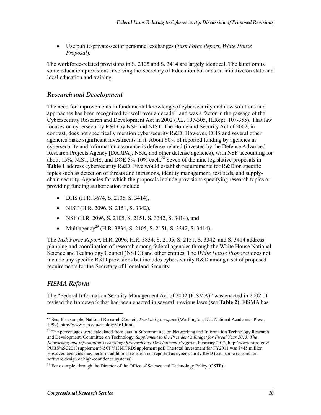• Use public/private-sector personnel exchanges (*Task Force Report*, *White House Proposal*).

The workforce-related provisions in S. 2105 and S. 3414 are largely identical. The latter omits some education provisions involving the Secretary of Education but adds an initiative on state and local education and training.

#### *Research and Development*

The need for improvements in fundamental knowledge of cybersecurity and new solutions and approaches has been recognized for well over a decade<sup>27</sup> and was a factor in the passage of the Cybersecurity Research and Development Act in 2002 (P.L. 107-305, H.Rept. 107-355). That law focuses on cybersecurity R&D by NSF and NIST. The Homeland Security Act of 2002, in contrast, does not specifically mention cybersecurity R&D. However, DHS and several other agencies make significant investments in it. About 60% of reported funding by agencies in cybersecurity and information assurance is defense-related (invested by the Defense Advanced Research Projects Agency [DARPA], NSA, and other defense agencies), with NSF accounting for about 15%, NIST, DHS, and DOE  $5\%$ -10% each.<sup>28</sup> Seven of the nine legislative proposals in **Table 1** address cybersecurity R&D. Five would establish requirements for R&D on specific topics such as detection of threats and intrusions, identity management, test beds, and supplychain security. Agencies for which the proposals include provisions specifying research topics or providing funding authorization include

- DHS (H.R. 3674, S. 2105, S. 3414),
- NIST (H.R. 2096, S. 2151, S. 3342),
- NSF (H.R. 2096, S. 2105, S. 2151, S. 3342, S. 3414), and
- Multiagency<sup>29</sup> (H.R. 3834, S. 2105, S. 2151, S. 3342, S. 3414).

The *Task Force Report*, H.R. 2096, H.R. 3834, S. 2105, S. 2151, S. 3342, and S. 3414 address planning and coordination of research among federal agencies through the White House National Science and Technology Council (NSTC) and other entities. The *White House Proposal* does not include any specific R&D provisions but includes cybersecurity R&D among a set of proposed requirements for the Secretary of Homeland Security.

#### *FISMA Reform*

The "Federal Information Security Management Act of 2002 (FISMA)" was enacted in 2002. It revised the framework that had been enacted in several previous laws (see **Table 2**). FISMA has

<sup>1</sup> 27 See, for example, National Research Council, *Trust in Cyberspace* (Washington, DC: National Academies Press, 1999), http://www.nap.edu/catalog/6161.html.

 $^{28}$  The percentages were calculated from data in Subcommittee on Networking and Information Technology Research and Development, Committee on Technology, *Supplement to the President's Budget for Fiscal Year 2013: The Networking and Information Technology Research and Development Program*, February 2012, http://www.nitrd.gov/ PUBS%5C2013supplement%5CFY13NITRDSupplement.pdf. The total investment for FY2011 was \$445 million. However, agencies may perform additional research not reported as cybersecurity R&D (e.g., some research on software design or high-confidence systems).

 $^{29}$  For example, through the Director of the Office of Science and Technology Policy (OSTP).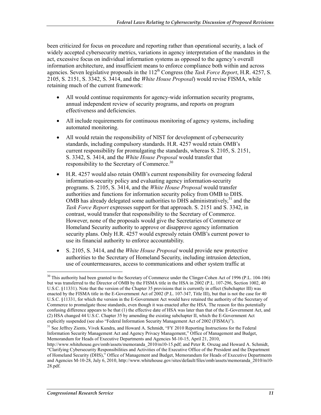been criticized for focus on procedure and reporting rather than operational security, a lack of widely accepted cybersecurity metrics, variations in agency interpretation of the mandates in the act, excessive focus on individual information systems as opposed to the agency's overall information architecture, and insufficient means to enforce compliance both within and across agencies. Seven legislative proposals in the 112<sup>th</sup> Congress (the *Task Force Report*, H.R. 4257, S. 2105, S. 2151, S. 3342, S. 3414, and the *White House Proposal*) would revise FISMA, while retaining much of the current framework:

- All would continue requirements for agency-wide information security programs, annual independent review of security programs, and reports on program effectiveness and deficiencies.
- All include requirements for continuous monitoring of agency systems, including automated monitoring.
- All would retain the responsibility of NIST for development of cybersecurity standards, including compulsory standards. H.R. 4257 would retain OMB's current responsibility for promulgating the standards, whereas S. 2105, S. 2151, S. 3342, S. 3414, and the *White House Proposal* would transfer that responsibility to the Secretary of Commerce.<sup>30</sup>
- H.R. 4257 would also retain OMB's current responsibility for overseeing federal information-security policy and evaluating agency information-security programs. S. 2105, S. 3414, and the *White House Proposal* would transfer authorities and functions for information security policy from OMB to DHS. OMB has already delegated some authorities to DHS administratively, $31$  and the *Task Force Report* expresses support for that approach. S. 2151 and S. 3342, in contrast, would transfer that responsibility to the Secretary of Commerce. However, none of the proposals would give the Secretaries of Commerce or Homeland Security authority to approve or disapprove agency information security plans. Only H.R. 4257 would expressly retain OMB's current power to use its financial authority to enforce accountability.
- S. 2105, S. 3414, and the *White House Proposal* would provide new protective authorities to the Secretary of Homeland Security, including intrusion detection, use of countermeasures, access to communications and other system traffic at

1

<sup>&</sup>lt;sup>30</sup> This authority had been granted to the Secretary of Commerce under the Clinger-Cohen Act of 1996 (P.L. 104-106) but was transferred to the Director of OMB by the FISMA title in the HSA in 2002 (P.L. 107-296, Section 1002, 40 U.S.C. §11331). Note that the version of the Chapter 35 provisions that is currently in effect (Subchapter III) was enacted by the FISMA title in the E-Government Act of 2002 (P.L. 107-347, Title III), but that is not the case for 40 U.S.C. §11331, for which the version in the E-Government Act would have retained the authority of the Secretary of Commerce to promulgate those standards, even though it was enacted after the HSA. The reason for this potentially confusing difference appears to be that (1) the effective date of HSA was later than that of the E-Government Act, and (2) HSA changed 44 U.S.C. Chapter 35 by amending the existing subchapter II, which the E-Government Act explicitly suspended (see also "Federal Information Security Management Act of 2002 (FISMA)").

<sup>&</sup>lt;sup>31</sup> See Jeffrey Zients, Vivek Kundra, and Howard A. Schmidt, "FY 2010 Reporting Instructions for the Federal Information Security Management Act and Agency Privacy Management," Office of Management and Budget, Memorandum for Heads of Executive Departments and Agencies M-10-15, April 21, 2010,

http://www.whitehouse.gov/omb/assets/memoranda\_2010/m10-15.pdf; and Peter R. Orszag and Howard A. Schmidt, "Clarifying Cybersecurity Responsibilities and Activities of the Executive Office of the President and the Department of Homeland Security (DHS)," Office of Management and Budget, Memorandum for Heads of Executive Departments and Agencies M-10-28, July 6, 2010, http://www.whitehouse.gov/sites/default/files/omb/assets/memoranda\_2010/m10-28.pdf.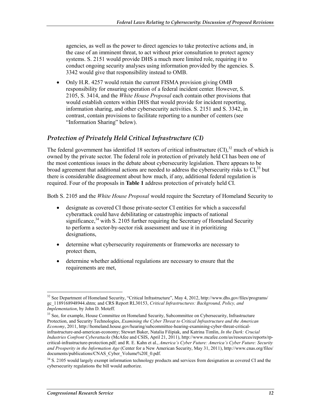agencies, as well as the power to direct agencies to take protective actions and, in the case of an imminent threat, to act without prior consultation to protect agency systems. S. 2151 would provide DHS a much more limited role, requiring it to conduct ongoing security analyses using information provided by the agencies. S. 3342 would give that responsibility instead to OMB.

• Only H.R. 4257 would retain the current FISMA provision giving OMB responsibility for ensuring operation of a federal incident center. However, S. 2105, S. 3414, and the *White House Proposal* each contain other provisions that would establish centers within DHS that would provide for incident reporting, information sharing, and other cybersecurity activities. S. 2151 and S. 3342, in contrast, contain provisions to facilitate reporting to a number of centers (see "Information Sharing" below).

#### *Protection of Privately Held Critical Infrastructure (CI)*

The federal government has identified 18 sectors of critical infrastructure  $(CI)$ ,<sup>32</sup> much of which is owned by the private sector. The federal role in protection of privately held CI has been one of the most contentious issues in the debate about cybersecurity legislation. There appears to be broad agreement that additional actions are needed to address the cybersecurity risks to  $CI$ <sup>33</sup>, but there is considerable disagreement about how much, if any, additional federal regulation is required. Four of the proposals in **Table 1** address protection of privately held CI.

Both S. 2105 and the *White House Proposal* would require the Secretary of Homeland Security to

- designate as covered CI those private-sector CI entities for which a successful cyberattack could have debilitating or catastrophic impacts of national significance, $34$  with S. 2105 further requiring the Secretary of Homeland Security to perform a sector-by-sector risk assessment and use it in prioritizing designations,
- determine what cybersecurity requirements or frameworks are necessary to protect them,
- determine whether additional regulations are necessary to ensure that the requirements are met,

<sup>&</sup>lt;u>.</u>  $32$  See Department of Homeland Security, "Critical Infrastructure", May 4, 2012, http://www.dhs.gov/files/programs/ gc\_1189168948944.shtm; and CRS Report RL30153, *Critical Infrastructures: Background, Policy, and Implementation*, by John D. Moteff.

<sup>&</sup>lt;sup>33</sup> See, for example, House Committee on Homeland Security, Subcommittee on Cybersecurity, Infrastructure Protection, and Security Technologies, *Examining the Cyber Threat to Critical Infrastructure and the American Economy*, 2011, http://homeland.house.gov/hearing/subcommittee-hearing-examining-cyber-threat-criticalinfrastructure-and-american-economy; Stewart Baker, Natalia Filipiak, and Katrina Timlin, *In the Dark: Crucial Industries Confront Cyberattacks* (McAfee and CSIS, April 21, 2011), http://www.mcafee.com/us/resources/reports/rpcritical-infrastructure-protection.pdf; and R. E. Kahn et al., *America's Cyber Future: America's Cyber Future: Security and Prosperity in the Information Age* (Center for a New American Security, May 31, 2011), http://www.cnas.org/files/ documents/publications/CNAS\_Cyber\_Volume%20I\_0.pdf.

<sup>&</sup>lt;sup>34</sup> S. 2105 would largely exempt information technology products and services from designation as covered CI and the cybersecurity regulations the bill would authorize.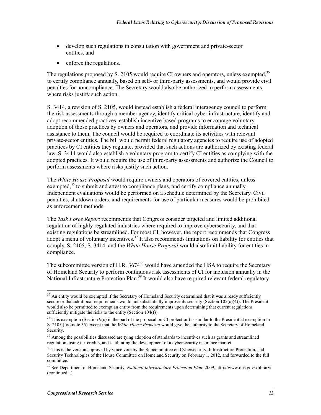- develop such regulations in consultation with government and private-sector entities, and
- enforce the regulations.

The regulations proposed by S. 2105 would require CI owners and operators, unless exempted,<sup>35</sup> to certify compliance annually, based on self- or third-party assessments, and would provide civil penalties for noncompliance. The Secretary would also be authorized to perform assessments where risks justify such action.

S. 3414, a revision of S. 2105, would instead establish a federal interagency council to perform the risk assessments through a member agency, identify critical cyber infrastructure, identify and adopt recommended practices, establish incentive-based programs to encourage voluntary adoption of those practices by owners and operators, and provide information and technical assistance to them. The council would be required to coordinate its activities with relevant private-sector entities. The bill would permit federal regulatory agencies to require use of adopted practices by CI entities they regulate, provided that such actions are authorized by existing federal law. S. 3414 would also establish a voluntary program to certify CI entities as complying with the adopted practices. It would require the use of third-party assessments and authorize the Council to perform assessments where risks justify such action.

The *White House Proposal* would require owners and operators of covered entities, unless exempted, $36$  to submit and attest to compliance plans, and certify compliance annually. Independent evaluations would be performed on a schedule determined by the Secretary. Civil penalties, shutdown orders, and requirements for use of particular measures would be prohibited as enforcement methods.

The *Task Force Report* recommends that Congress consider targeted and limited additional regulation of highly regulated industries where required to improve cybersecurity, and that existing regulations be streamlined. For most CI, however, the report recommends that Congress adopt a menu of voluntary incentives.<sup>37</sup> It also recommends limitations on liability for entities that comply. S. 2105, S. 3414, and the *White House Proposal* would also limit liability for entities in compliance.

The subcommittee version of H.R.  $3674^{38}$  would have amended the HSA to require the Secretary of Homeland Security to perform continuous risk assessments of CI for inclusion annually in the National Infrastructure Protection Plan.<sup>39</sup> It would also have required relevant federal regulatory

<u>.</u>

 $35$  An entity would be exempted if the Secretary of Homeland Security determined that it was already sufficiently secure or that additional requirements would not substantially improve its security (Section  $105(c)(4)$ ). The President would also be permitted to exempt an entity from the requirements upon determining that current regulations sufficiently mitigate the risks to the entity (Section  $104(f)$ ).

 $36$  This exemption (Section 9(c) in the part of the proposal on CI protection) is similar to the Presidential exemption in S. 2105 (footnote 35) except that the *White House Proposal* would give the authority to the Secretary of Homeland Security.

<sup>&</sup>lt;sup>37</sup> Among the possibilities discussed are tying adoption of standards to incentives such as grants and streamlined regulation, using tax credits, and facilitating the development of a cybersecurity insurance market.

 $38$  This is the version approved by voice vote by the Subcommittee on Cybersecurity, Infrastructure Protection, and Security Technologies of the House Committee on Homeland Security on February 1, 2012, and forwarded to the full committee.

<sup>39</sup> See Department of Homeland Security, *National Infrastructure Protection Plan*, 2009, http://www.dhs.gov/xlibrary/ (continued...)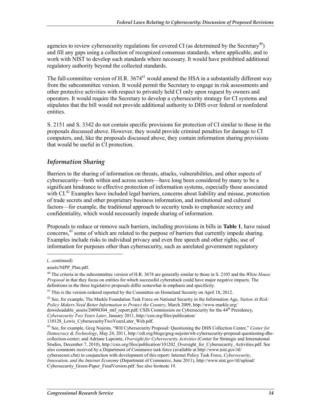agencies to review cybersecurity regulations for covered CI (as determined by the Secretary<sup>40</sup>) and fill any gaps using a collection of recognized consensus standards, where applicable, and to work with NIST to develop such standards where necessary. It would have prohibited additional regulatory authority beyond the collected standards.

The full-committee version of H.R.  $3674^{41}$  would amend the HSA in a substantially different way from the subcommittee version. It would permit the Secretary to engage in risk assessments and other protective activities with respect to privately held CI only upon request by owners and operators. It would require the Secretary to develop a cybersecurity strategy for CI systems and stipulates that the bill would not provide additional authority to DHS over federal or nonfederal entities.

S. 2151 and S. 3342 do not contain specific provisions for protection of CI similar to those in the proposals discussed above. However, they would provide criminal penalties for damage to CI computers, and, like the proposals discussed above, they contain information sharing provisions that would be useful in CI protection.

#### *Information Sharing*

Barriers to the sharing of information on threats, attacks, vulnerabilities, and other aspects of cybersecurity—both within and across sectors—have long been considered by many to be a significant hindrance to effective protection of information systems, especially those associated with CI.<sup>42</sup> Examples have included legal barriers, concerns about liability and misuse, protection of trade secrets and other proprietary business information, and institutional and cultural factors—for example, the traditional approach to security tends to emphasize secrecy and confidentiality, which would necessarily impede sharing of information.

Proposals to reduce or remove such barriers, including provisions in bills in **Table 1**, have raised concerns,<sup>43</sup> some of which are related to the purpose of barriers that currently impede sharing. Examples include risks to individual privacy and even free speech and other rights, use of information for purposes other than cybersecurity, such as unrelated government regulatory

 $\overline{a}$ 

<sup>(...</sup>continued)

assets/NIPP\_Plan.pdf.

<sup>40</sup> The criteria in the subcommittee version of H.R. 3674 are generally similar to those in S. 2105 and the *White House Proposal* in that they focus on entities for which successful cyberattack could have major negative impacts. The definitions in the three legislative proposals differ somewhat in emphasis and specificity.

<sup>&</sup>lt;sup>41</sup> This is the version ordered reported by the Committee on Homeland Security on April 18, 2012.

<sup>42</sup> See, for example, The Markle Foundation Task Force on National Security in the Information Age, *Nation At Risk:* 

*Policy Makers Need Better Information to Protect the Country*, March 2009, http://www.markle.org/

downloadable\_assets/20090304\_mtf\_report.pdf; CSIS Commission on Cybersecurity for the 44<sup>th</sup> Presidency,

*Cybersecurity Two Years Later*, January 2011, http://csis.org/files/publication/

<sup>110128</sup>\_Lewis\_CybersecurityTwoYearsLater\_Web.pdf.

<sup>43</sup> See, for example, Greg Nojeim, "WH Cybersecurity Proposal: Questioning the DHS Collection Center," *Center for Democracy & Technology*, May 24, 2011, http://cdt.org/blogs/greg-nojeim/wh-cybersecurity-proposal-questioning-dhscollection-center; and Adriane Lapointe, *Oversight for Cybersecurity Activities* (Center for Strategic and International Studies, December 7, 2010), http://csis.org/files/publication/101202 Oversight for Cybersecurity Activities.pdf. See also comments received by a Department of Commerce task force (available at http://www.nist.gov/itl/ cybersecnoi.cfm) in conjunction with development of this report: Internet Policy Task Force, *Cybersecurity, Innovation, and the Internet Economy* (Department of Commerce, June 2011), http://www.nist.gov/itl/upload/ Cybersecurity\_Green-Paper\_FinalVersion.pdf. See also footnote 19.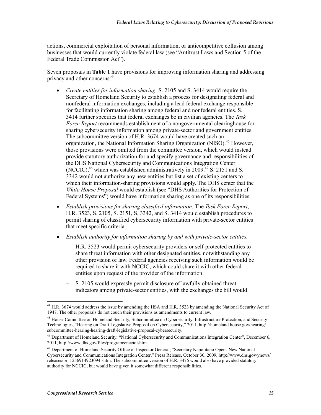actions, commercial exploitation of personal information, or anticompetitive collusion among businesses that would currently violate federal law (see "Antitrust Laws and Section 5 of the Federal Trade Commission Act").

Seven proposals in **Table 1** have provisions for improving information sharing and addressing privacy and other concerns:<sup>44</sup>

- *Create entities for information sharing.* S. 2105 and S. 3414 would require the Secretary of Homeland Security to establish a process for designating federal and nonfederal information exchanges, including a lead federal exchange responsible for facilitating information sharing among federal and nonfederal entities. S. 3414 further specifies that federal exchanges be in civilian agencies. The *Task Force Report* recommends establishment of a nongovernmental clearinghouse for sharing cybersecurity information among private-sector and government entities. The subcommittee version of H.R. 3674 would have created such an organization, the National Information Sharing Organization (NISO).<sup>45</sup> However, those provisions were omitted from the committee version, which would instead provide statutory authorization for and specify governance and responsibilities of the DHS National Cybersecurity and Communications Integration Center (NCCIC), $46$  which was established administratively in 2009. $47$  S. 2151 and S. 3342 would not authorize any new entities but list a set of existing centers to which their information-sharing provisions would apply. The DHS center that the *White House Proposal* would establish (see "DHS Authorities for Protection of Federal Systems") would have information sharing as one of its responsibilities.
- *Establish provisions for sharing classified information.* The *Task Force Report*, H.R. 3523, S. 2105, S. 2151, S. 3342, and S. 3414 would establish procedures to permit sharing of classified cybersecurity information with private-sector entities that meet specific criteria.
- *Establish authority for information sharing by and with private-sector entities.*
	- − H.R. 3523 would permit cybersecurity providers or self-protected entities to share threat information with other designated entities, notwithstanding any other provision of law. Federal agencies receiving such information would be required to share it with NCCIC, which could share it with other federal entities upon request of the provider of the information.
	- − S. 2105 would expressly permit disclosure of lawfully obtained threat indicators among private-sector entities, with the exchanges the bill would

<sup>&</sup>lt;u>.</u> <sup>44</sup> H.R. 3674 would address the issue by amending the HSA and H.R. 3523 by amending the National Security Act of 1947. The other proposals do not couch their provisions as amendments to current law.

<sup>&</sup>lt;sup>45</sup> House Committee on Homeland Security, Subcommittee on Cybersecurity, Infrastructure Protection, and Security Technologies, "Hearing on Draft Legislative Proposal on Cybersecurity," 2011, http://homeland.house.gov/hearing/ subcommittee-hearing-hearing-draft-legislative-proposal-cybersecurity.

<sup>&</sup>lt;sup>46</sup> Department of Homeland Security, "National Cybersecurity and Communications Integration Center", December 6, 2011, http://www.dhs.gov/files/programs/nccic.shtm.

<sup>&</sup>lt;sup>47</sup> Department of Homeland Security Office of Inspector General, "Secretary Napolitano Opens New National Cybersecurity and Communications Integration Center," Press Release, October 30, 2009, http://www.dhs.gov/ynews/ releases/pr\_1256914923094.shtm. The subcommittee version of H.R. 3476 would also have provided statutory authority for NCCIC, but would have given it somewhat different responsibilities.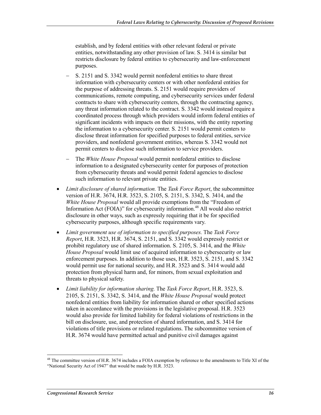establish, and by federal entities with other relevant federal or private entities, notwithstanding any other provision of law. S. 3414 is similar but restricts disclosure by federal entities to cybersecurity and law-enforcement purposes.

- S, 2151 and S, 3342 would permit nonfederal entities to share threat information with cybersecurity centers or with other nonfederal entities for the purpose of addressing threats. S. 2151 would require providers of communications, remote computing, and cybersecurity services under federal contracts to share with cybersecurity centers, through the contracting agency, any threat information related to the contract. S. 3342 would instead require a coordinated process through which providers would inform federal entities of significant incidents with impacts on their missions, with the entity reporting the information to a cybersecurity center. S. 2151 would permit centers to disclose threat information for specified purposes to federal entities, service providers, and nonfederal government entities, whereas S. 3342 would not permit centers to disclose such information to service providers.
- The *White House Proposal* would permit nonfederal entities to disclose information to a designated cybersecurity center for purposes of protection from cybersecurity threats and would permit federal agencies to disclose such information to relevant private entities.
- *Limit disclosure of shared information.* The *Task Force Report*, the subcommittee version of H.R. 3674, H.R. 3523, S. 2105, S. 2151, S. 3342, S. 3414, and the *White House Proposal* would all provide exemptions from the "Freedom of Information Act  $(FOIA)$ " for cybersecurity information.<sup>48</sup> All would also restrict disclosure in other ways, such as expressly requiring that it be for specified cybersecurity purposes, although specific requirements vary.
- *Limit government use of information to specified purposes.* The *Task Force Report*, H.R. 3523, H.R. 3674, S. 2151, and S. 3342 would expressly restrict or prohibit regulatory use of shared information. S. 2105, S. 3414, and the *White House Proposal* would limit use of acquired information to cybersecurity or law enforcement purposes. In addition to those uses, H.R. 3523, S. 2151, and S. 3342 would permit use for national security, and H.R. 3523 and S. 3414 would add protection from physical harm and, for minors, from sexual exploitation and threats to physical safety.
- *Limit liability for information sharing.* The *Task Force Report*, H.R. 3523, S. 2105, S. 2151, S. 3342, S. 3414, and the *White House Proposal* would protect nonfederal entities from liability for information shared or other specified actions taken in accordance with the provisions in the legislative proposal. H.R. 3523 would also provide for limited liability for federal violations of restrictions in the bill on disclosure, use, and protection of shared information, and S. 3414 for violations of title provisions or related regulations. The subcommittee version of H.R. 3674 would have permitted actual and punitive civil damages against

1

 $48$  The committee version of H.R. 3674 includes a FOIA exemption by reference to the amendments to Title XI of the "National Security Act of 1947" that would be made by H.R. 3523.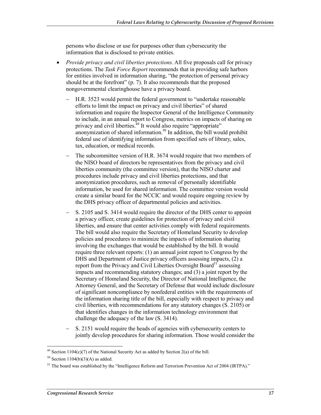persons who disclose or use for purposes other than cybersecurity the information that is disclosed to private entities.

- *Provide privacy and civil liberties protections.* All five proposals call for privacy protections. The *Task Force Report* recommends that in providing safe harbors for entities involved in information sharing, "the protection of personal privacy should be at the forefront" (p. 7). It also recommends that the proposed nongovernmental clearinghouse have a privacy board.
	- − H.R. 3523 would permit the federal government to "undertake reasonable efforts to limit the impact on privacy and civil liberties" of shared information and require the Inspector General of the Intelligence Community to include, in an annual report to Congress, metrics on impacts of sharing on privacy and civil liberties.<sup>49</sup> It would also require "appropriate" anonymization of shared information.<sup>50</sup> In addition, the bill would prohibit federal use of identifying information from specified sets of library, sales, tax, education, or medical records.
	- − The subcommittee version of H.R. 3674 would require that two members of the NISO board of directors be representatives from the privacy and civil liberties community (the committee version), that the NISO charter and procedures include privacy and civil liberties protections, and that anonymization procedures, such as removal of personally identifiable information, be used for shared information. The committee version would create a similar board for the NCCIC and would require ongoing review by the DHS privacy officer of departmental policies and activities.
	- − S. 2105 and S. 3414 would require the director of the DHS center to appoint a privacy officer, create guidelines for protection of privacy and civil liberties, and ensure that center activities comply with federal requirements. The bill would also require the Secretary of Homeland Security to develop policies and procedures to minimize the impacts of information sharing involving the exchanges that would be established by the bill. It would require three relevant reports: (1) an annual joint report to Congress by the DHS and Department of Justice privacy officers assessing impacts, (2) a report from the Privacy and Civil Liberties Oversight Board<sup>51</sup> assessing impacts and recommending statutory changes; and (3) a joint report by the Secretary of Homeland Security, the Director of National Intelligence, the Attorney General, and the Secretary of Defense that would include disclosure of significant noncompliance by nonfederal entities with the requirements of the information sharing title of the bill, especially with respect to privacy and civil liberties, with recommendations for any statutory changes (S. 2105) or that identifies changes in the information technology environment that challenge the adequacy of the law (S. 3414).
	- − S. 2151 would require the heads of agencies with cybersecurity centers to jointly develop procedures for sharing information. Those would consider the

1

<sup>&</sup>lt;sup>49</sup> Section 1104(c)(7) of the National Security Act as added by Section 2(a) of the bill.

 $50$  Section 1104(b)(3)(A) as added.

<sup>&</sup>lt;sup>51</sup> The board was established by the "Intelligence Reform and Terrorism Prevention Act of 2004 (IRTPA)."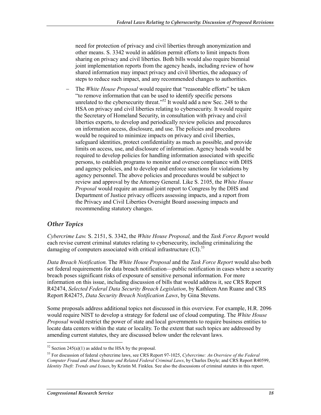need for protection of privacy and civil liberties through anonymization and other means. S. 3342 would in addition permit efforts to limit impacts from sharing on privacy and civil liberties. Both bills would also require biennial joint implementation reports from the agency heads, including review of how shared information may impact privacy and civil liberties, the adequacy of steps to reduce such impact, and any recommended changes to authorities.

The *White House Proposal* would require that "reasonable efforts" be taken "to remove information that can be used to identify specific persons unrelated to the cybersecurity threat."<sup>52</sup> It would add a new Sec. 248 to the HSA on privacy and civil liberties relating to cybersecurity. It would require the Secretary of Homeland Security, in consultation with privacy and civil liberties experts, to develop and periodically review policies and procedures on information access, disclosure, and use. The policies and procedures would be required to minimize impacts on privacy and civil liberties, safeguard identities, protect confidentiality as much as possible, and provide limits on access, use, and disclosure of information. Agency heads would be required to develop policies for handling information associated with specific persons, to establish programs to monitor and oversee compliance with DHS and agency policies, and to develop and enforce sanctions for violations by agency personnel. The above policies and procedures would be subject to review and approval by the Attorney General. Like S. 2105, the *White House Proposal* would require an annual joint report to Congress by the DHS and Department of Justice privacy officers assessing impacts, and a report from the Privacy and Civil Liberties Oversight Board assessing impacts and recommending statutory changes.

#### *Other Topics*

1

*Cybercrime Law.* S. 2151, S. 3342, the *White House Proposal,* and the *Task Force Report* would each revise current criminal statutes relating to cybersecurity, including criminalizing the damaging of computers associated with critical infrastructure  $\text{(CI)}$ .<sup>53</sup>

*Data Breach Notification.* The *White House Proposal* and the *Task Force Report* would also both set federal requirements for data breach notification—public notification in cases where a security breach poses significant risks of exposure of sensitive personal information. For more information on this issue, including discussion of bills that would address it, see CRS Report R42474, *Selected Federal Data Security Breach Legislation*, by Kathleen Ann Ruane and CRS Report R42475, *Data Security Breach Notification Laws*, by Gina Stevens.

Some proposals address additional topics not discussed in this overview. For example, H.R. 2096 would require NIST to develop a strategy for federal use of cloud computing. The *White House Proposal* would restrict the power of state and local governments to require business entities to locate data centers within the state or locality. To the extent that such topics are addressed by amending current statutes, they are discussed below under the relevant laws.

 $52$  Section 245(a)(1) as added to the HSA by the proposal.

<sup>53</sup> For discussion of federal cybercrime laws, see CRS Report 97-1025, *Cybercrime: An Overview of the Federal Computer Fraud and Abuse Statute and Related Federal Criminal Laws*, by Charles Doyle; and CRS Report R40599, *Identity Theft: Trends and Issues*, by Kristin M. Finklea. See also the discussions of criminal statutes in this report.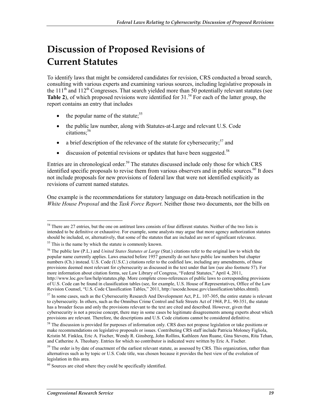# **Discussion of Proposed Revisions of Current Statutes**

To identify laws that might be considered candidates for revision, CRS conducted a broad search, consulting with various experts and examining various sources, including legislative proposals in the 111<sup>th</sup> and 112<sup>th</sup> Congresses. That search yielded more than 50 potentially relevant statutes (see **Table 2**), of which proposed revisions were identified for 31.<sup>54</sup> For each of the latter group, the report contains an entry that includes

- the popular name of the statute;  $55$
- the public law number, along with Statutes-at-Large and relevant U.S. Code citations:<sup>56</sup>
- a brief description of the relevance of the statute for cybersecurity;<sup>57</sup> and
- $\bullet$  discussion of potential revisions or updates that have been suggested.<sup>58</sup>

Entries are in chronological order.<sup>59</sup> The statutes discussed include only those for which CRS identified specific proposals to revise them from various observers and in public sources. $^{60}$  It does not include proposals for new provisions of federal law that were not identified explicitly as revisions of current named statutes.

One example is the recommendations for statutory language on data-breach notification in the *White House Proposal* and the *Task Force Report*. Neither those two documents, nor the bills on

1

<sup>&</sup>lt;sup>54</sup> There are 27 entries, but the one on antitrust laws consists of four different statutes. Neither of the two lists is intended to be definitive or exhaustive. For example, some analysts may argue that more agency authorization statutes should be included, or, alternatively, that some of the statutes that are included are not of significant relevance.

<sup>&</sup>lt;sup>55</sup> This is the name by which the statute is commonly known.

<sup>56</sup> The public law (P.L.) and *United States Statutes at Large* (Stat.) citations refer to the original law to which the popular name currently applies. Laws enacted before 1957 generally do not have public law numbers but chapter numbers (Ch.) instead. U.S. Code (U.S.C.) citations refer to the codified law, including any amendments, of those provisions deemed most relevant for cybersecurity as discussed in the text under that law (see also footnote 57). For more information about citation forms, see Law Library of Congress, "Federal Statutes," April 4, 2011, http://www.loc.gov/law/help/statutes.php. More complete cross-references of public laws to corresponding provisions of U.S. Code can be found in classification tables (see, for example, U.S. House of Representatives, Office of the Law Revision Counsel, "U.S. Code Classification Tables," 2011, http://uscode.house.gov/classification/tables.shtml).

<sup>&</sup>lt;sup>57</sup> In some cases, such as the Cybersecurity Research And Development Act, P.L. 107-305, the entire statute is relevant to cybersecurity. In others, such as the Omnibus Crime Control and Safe Streets Act of 1968, P.L. 90-351, the statute has a broader focus and only the provisions relevant to the text are cited and described. However, given that cybersecurity is not a precise concept, there may in some cases be legitimate disagreements among experts about which provisions are relevant. Therefore, the descriptions and U.S. Code citations cannot be considered definitive.

<sup>&</sup>lt;sup>58</sup> The discussion is provided for purposes of information only. CRS does not propose legislation or take positions or make recommendations on legislative proposals or issues. Contributing CRS staff include Patricia Moloney Figliola, Kristin M. Finklea, Eric A. Fischer, Wendy R. Ginsberg, John Rollins, Kathleen Ann Ruane, Gina Stevens, Rita Tehan, and Catherine A. Theohary. Entries for which no contributor is indicated were written by Eric A. Fischer.

 $59$  The order is by date of enactment of the earliest relevant statute, as assessed by CRS. This organization, rather than alternatives such as by topic or U.S. Code title, was chosen because it provides the best view of the evolution of legislation in this area.

 $60$  Sources are cited where they could be specifically identified.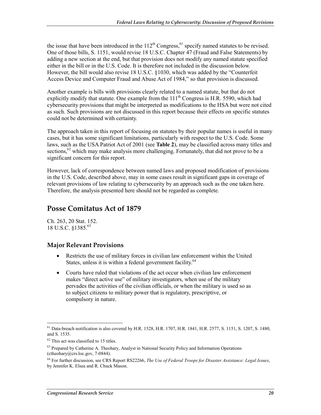the issue that have been introduced in the  $112<sup>th</sup>$  Congress,<sup>61</sup> specify named statutes to be revised. One of those bills, S. 1151, would revise 18 U.S.C. Chapter 47 (Fraud and False Statements) by adding a new section at the end, but that provision does not modify any named statute specified either in the bill or in the U.S. Code. It is therefore not included in the discussion below. However, the bill would also revise 18 U.S.C. §1030, which was added by the "Counterfeit Access Device and Computer Fraud and Abuse Act of 1984," so that provision is discussed.

Another example is bills with provisions clearly related to a named statute, but that do not explicitly modify that statute. One example from the  $111<sup>th</sup>$  Congress is H.R. 5590, which had cybersecurity provisions that might be interpreted as modifications to the HSA but were not cited as such. Such provisions are not discussed in this report because their effects on specific statutes could not be determined with certainty.

The approach taken in this report of focusing on statutes by their popular names is useful in many cases, but it has some significant limitations, particularly with respect to the U.S. Code. Some laws, such as the USA Patriot Act of 2001 (see **Table 2**), may be classified across many titles and sections,  $62$  which may make analysis more challenging. Fortunately, that did not prove to be a significant concern for this report.

However, lack of correspondence between named laws and proposed modification of provisions in the U.S. Code, described above, may in some cases result in significant gaps in coverage of relevant provisions of law relating to cybersecurity by an approach such as the one taken here. Therefore, the analysis presented here should not be regarded as complete.

## **Posse Comitatus Act of 1879**

Ch. 263, 20 Stat. 152. 18 U.S.C. §1385.<sup>63</sup>

#### **Major Relevant Provisions**

- Restricts the use of military forces in civilian law enforcement within the United States, unless it is within a federal government facility.<sup>64</sup>
- Courts have ruled that violations of the act occur when civilian law enforcement makes "direct active use" of military investigators, when use of the military pervades the activities of the civilian officials, or when the military is used so as to subject citizens to military power that is regulatory, prescriptive, or compulsory in nature.

62 This act was classified to 15 titles.

<sup>1</sup> <sup>61</sup> Data-breach notification is also covered by H.R. 1528, H.R. 1707, H.R. 1841, H.R. 2577, S. 1151, S. 1207, S. 1480, and S. 1535.

<sup>&</sup>lt;sup>63</sup> Prepared by Catherine A. Theohary, Analyst in National Security Policy and Information Operations (ctheohary@crs.loc.gov, 7-0844).

<sup>64</sup> For further discussion, see CRS Report RS22266, *The Use of Federal Troops for Disaster Assistance: Legal Issues*, by Jennifer K. Elsea and R. Chuck Mason.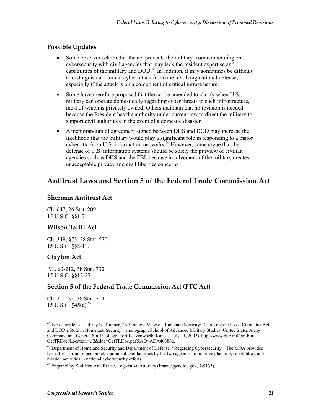#### **Possible Updates**

- Some observers claim that the act prevents the military from cooperating on cybersecurity with civil agencies that may lack the resident expertise and capabilities of the military and DOD.<sup>65</sup> In addition, it may sometimes be difficult to distinguish a criminal cyber attack from one involving national defense, especially if the attack is on a component of critical infrastructure.
- Some have therefore proposed that the act be amended to clarify when U.S. military can operate domestically regarding cyber threats to such infrastructure, most of which is privately owned. Others maintain that no revision is needed because the President has the authority under current law to direct the military to support civil authorities in the event of a domestic disaster.
- A memorandum of agreement signed between DHS and DOD may increase the likelihood that the military would play a significant role in responding to a major cyber attack on U.S. information networks.<sup>66</sup> However, some argue that the defense of U.S. information systems should be solely the purview of civilian agencies such as DHS and the FBI, because involvement of the military creates unacceptable privacy and civil liberties concerns.

## **Antitrust Laws and Section 5 of the Federal Trade Commission Act**

#### **Sherman Antitrust Act**

Ch. 647, 26 Stat. 209. 15 U.S.C. §§1-7.

#### **Wilson Tariff Act**

Ch. 349, §73, 28 Stat. 570. 15 U.S.C. §§8-11.

#### **Clayton Act**

P.L. 63-212, 38 Stat. 730. 15 U.S.C. §§12-27.

#### **Section 5 of the Federal Trade Commission Act (FTC Act)**

Ch. 311, §5, 38 Stat. 719. 15 U.S.C.  $§45(a).^{67}$ 

<sup>1</sup> <sup>65</sup> For example, see Jeffrey K. Toomer, "A Strategic View of Homeland Security: Relooking the Posse Comitatus Act and DOD's Role in Homeland Security" (monograph, School of Advanced Military Studies, United States Army Command and General Staff College, Fort Leavenworth, Kansas, July 11, 2002), http://www.dtic.mil/cgi-bin/ GetTRDoc?Location=U2&doc=GetTRDoc.pdf&AD=ADA403866.

<sup>66</sup> Department of Homeland Security and Department of Defense, "Regarding Cybersecurity." The MOA provides terms for sharing of personnel, equipment, and facilities by the two agencies to improve planning, capabilities, and mission activities in national cybersecurity efforts.

 $67$  Prepared by Kathleen Ann Ruane, Legislative Attorney (kruane@crs.loc.gov, 7-9135).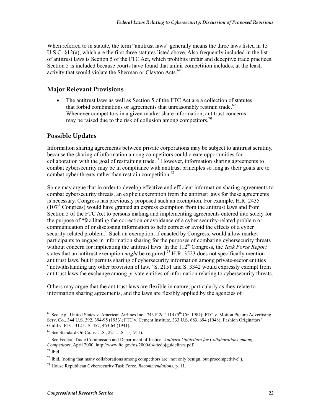When referred to in statute, the term "antitrust laws" generally means the three laws listed in 15 U.S.C. §12(a), which are the first three statutes listed above. Also frequently included in the list of antitrust laws is Section 5 of the FTC Act, which prohibits unfair and deceptive trade practices. Section 5 is included because courts have found that unfair competition includes, at the least, activity that would violate the Sherman or Clayton Acts.<sup>68</sup>

#### **Major Relevant Provisions**

• The antitrust laws as well as Section 5 of the FTC Act are a collection of statutes that forbid combinations or agreements that unreasonably restrain trade.<sup>69</sup> Whenever competitors in a given market share information, antitrust concerns may be raised due to the risk of collusion among competitors.<sup>70</sup>

#### **Possible Updates**

Information sharing agreements between private corporations may be subject to antitrust scrutiny, because the sharing of information among competitors could create opportunities for collaboration with the goal of restraining trade.<sup>71</sup> However, information sharing agreements to combat cybersecurity may be in compliance with antitrust principles so long as their goals are to combat cyber threats rather than restrain competition.<sup>72</sup>

Some may argue that in order to develop effective and efficient information sharing agreements to combat cybersecurity threats, an explicit exemption from the antitrust laws for these agreements is necessary. Congress has previously proposed such an exemption. For example, H.R. 2435  $(107<sup>th</sup> Congress)$  would have granted an express exemption from the antitrust laws and from Section 5 of the FTC Act to persons making and implementing agreements entered into solely for the purpose of "facilitating the correction or avoidance of a cyber security-related problem or communication of or disclosing information to help correct or avoid the effects of a cyber security-related problem." Such an exemption, if enacted by Congress, would allow market participants to engage in information sharing for the purposes of combating cybersecurity threats without concern for implicating the antitrust laws. In the 112<sup>th</sup> Congress, the *Task Force Report* states that an antitrust exemption *might* be required.<sup>73</sup> H.R. 3523 does not specifically mention antitrust laws, but it permits sharing of cybersecurity information among private-sector entities "notwithstanding any other provision of law." S. 2151 and S. 3342 would expressly exempt from antitrust laws the exchange among private entities of information relating to cybersecurity threats.

Others may argue that the antitrust laws are flexible in nature, particularly as they relate to information sharing agreements, and the laws are flexibly applied by the agencies of

<sup>1</sup> <sup>68</sup> See, e.g., United States v. American Airlines Inc., 743 F.2d 1114 ( $5^{th}$  Cir. 1984); FTC v. Motion Picture Advertising Serv. Co., 344 U.S. 392, 394-95 (1953); FTC v. Cement Institute, 333 U.S. 683, 694 (1948); Fashion Originators' Guild v. FTC, 312 U.S. 457, 463-64 (1941).

<sup>69</sup> See Standard Oil Co. v. U.S., 221 U.S. 1 (1911).

<sup>70</sup> See Federal Trade Commission and Department of Justice, *Antitrust Guidelines for Collaborations among Competitors*, April 2000, http://www.ftc.gov/os/2000/04/ftcdojguidelines.pdf.

 $71$  Ibid.

 $^{72}$  Ibid. (noting that many collaborations among competitors are "not only benign, but procompetitive").

<sup>73</sup> House Republican Cybersecurity Task Force, *Recommendations*, p. 11.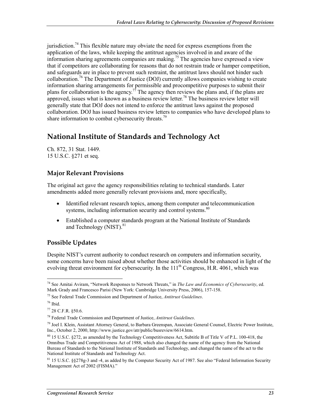jurisdiction.<sup>74</sup> This flexible nature may obviate the need for express exemptions from the application of the laws, while keeping the antitrust agencies involved in and aware of the information sharing agreements companies are making.<sup>75</sup> The agencies have expressed a view that if competitors are collaborating for reasons that do not restrain trade or hamper competition, and safeguards are in place to prevent such restraint, the antitrust laws should not hinder such collaboration.<sup>76</sup> The Department of Justice (DOJ) currently allows companies wishing to create information sharing arrangements for permissible and procompetitive purposes to submit their plans for collaboration to the agency.<sup>77</sup> The agency then reviews the plans and, if the plans are approved, issues what is known as a business review letter.<sup>78</sup> The business review letter will generally state that DOJ does not intend to enforce the antitrust laws against the proposed collaboration. DOJ has issued business review letters to companies who have developed plans to share information to combat cybersecurity threats.<sup>79</sup>

# **National Institute of Standards and Technology Act**

Ch. 872, 31 Stat. 1449. 15 U.S.C. §271 et seq.

#### **Major Relevant Provisions**

The original act gave the agency responsibilities relating to technical standards. Later amendments added more generally relevant provisions and, more specifically,

- Identified relevant research topics, among them computer and telecommunication systems, including information security and control systems.<sup>80</sup>
- Established a computer standards program at the National Institute of Standards and Technology (NIST).<sup>81</sup>

#### **Possible Updates**

Despite NIST's current authority to conduct research on computers and information security, some concerns have been raised about whether those activities should be enhanced in light of the evolving threat environment for cybersecurity. In the  $111<sup>th</sup>$  Congress, H.R. 4061, which was

<u>.</u>

<sup>74</sup> See Amitai Aviram, "Network Responses to Network Threats," in *The Law and Economics of Cybersecurity*, ed. Mark Grady and Francesco Parisi (New York: Cambridge University Press, 2006), 157-158.

<sup>75</sup> See Federal Trade Commission and Department of Justice, *Antitrust Guidelines*.

 $76$  Ibid.

<sup>77 28</sup> C.F.R. §50.6.

<sup>78</sup> Federal Trade Commission and Department of Justice, *Antitrust Guidelines*.

<sup>79</sup> Joel I. Klein, Assistant Attorney General, to Barbara Greenspan, Associate General Counsel, Electric Power Institute, Inc., October 2, 2000, http://www.justice.gov/atr/public/busreview/6614.htm.

<sup>80 15</sup> U.S.C. §272, as amended by the Technology Competitiveness Act, Subtitle B of Title V of P.L. 100-418, the Omnibus Trade and Competitiveness Act of 1988, which also changed the name of the agency from the National Bureau of Standards to the National Institute of Standards and Technology, and changed the name of the act to the National Institute of Standards and Technology Act.

<sup>&</sup>lt;sup>81</sup> 15 U.S.C. §§278g-3 and -4, as added by the Computer Security Act of 1987. See also "Federal Information Security Management Act of 2002 (FISMA)."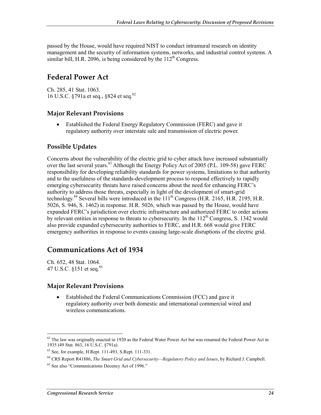passed by the House, would have required NIST to conduct intramural research on identity management and the security of information systems, networks, and industrial control systems. A similar bill, H.R. 2096, is being considered by the  $112<sup>th</sup>$  Congress.

## **Federal Power Act**

Ch. 285, 41 Stat. 1063. 16 U.S.C. §791a et seq., §824 et seq.<sup>82</sup>

#### **Major Relevant Provisions**

• Established the Federal Energy Regulatory Commission (FERC) and gave it regulatory authority over interstate sale and transmission of electric power.

#### **Possible Updates**

Concerns about the vulnerability of the electric grid to cyber attack have increased substantially over the last several years.<sup>83</sup> Although the Energy Policy Act of 2005 (P.L. 109-58) gave FERC responsibility for developing reliability standards for power systems, limitations to that authority and to the usefulness of the standards-development process to respond effectively to rapidly emerging cybersecurity threats have raised concerns about the need for enhancing FERC's authority to address those threats, especially in light of the development of smart-grid technology.<sup>84</sup> Several bills were introduced in the  $111^{th}$  Congress (H.R. 2165, H.R. 2195, H.R. 5026, S. 946, S. 1462) in response. H.R. 5026, which was passed by the House, would have expanded FERC's jurisdiction over electric infrastructure and authorized FERC to order actions by relevant entities in response to threats to cybersecurity. In the  $112<sup>th</sup>$  Congress, S. 1342 would also provide expanded cybersecurity authorities to FERC, and H.R. 668 would give FERC emergency authorities in response to events causing large-scale disruptions of the electric grid.

### **Communications Act of 1934**

Ch. 652, 48 Stat. 1064. 47 U.S.C. §151 et seq.85

1

#### **Major Relevant Provisions**

• Established the Federal Communications Commission (FCC) and gave it regulatory authority over both domestic and international commercial wired and wireless communications.

 $82$  The law was originally enacted in 1920 as the Federal Water Power Act but was renamed the Federal Power Act in 1935 (49 Stat. 863, 16 U.S.C. §791a).

<sup>83</sup> See, for example, H.Rept. 111-493, S.Rept. 111-331.

<sup>84</sup> CRS Report R41886, *The Smart Grid and Cybersecurity—Regulatory Policy and Issues*, by Richard J. Campbell.

<sup>&</sup>lt;sup>85</sup> See also "Communications Decency Act of 1996."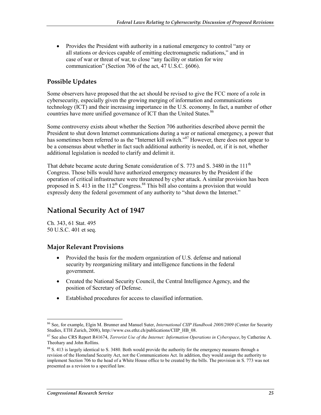• Provides the President with authority in a national emergency to control "any or all stations or devices capable of emitting electromagnetic radiations," and in case of war or threat of war, to close "any facility or station for wire communication" (Section 706 of the act, 47 U.S.C. §606).

#### **Possible Updates**

Some observers have proposed that the act should be revised to give the FCC more of a role in cybersecurity, especially given the growing merging of information and communications technology (ICT) and their increasing importance in the U.S. economy. In fact, a number of other countries have more unified governance of ICT than the United States.<sup>86</sup>

Some controversy exists about whether the Section 706 authorities described above permit the President to shut down Internet communications during a war or national emergency, a power that has sometimes been referred to as the "Internet kill switch."<sup>87</sup> However, there does not appear to be a consensus about whether in fact such additional authority is needed, or, if it is not, whether additional legislation is needed to clarify and delimit it.

That debate became acute during Senate consideration of S. 773 and S. 3480 in the 111<sup>th</sup> Congress. Those bills would have authorized emergency measures by the President if the operation of critical infrastructure were threatened by cyber attack. A similar provision has been proposed in S. 413 in the  $112^{th}$  Congress.<sup>88</sup> This bill also contains a provision that would expressly deny the federal government of any authority to "shut down the Internet."

## **National Security Act of 1947**

Ch. 343, 61 Stat. 495 50 U.S.C. 401 et seq.

#### **Major Relevant Provisions**

- Provided the basis for the modern organization of U.S. defense and national security by reorganizing military and intelligence functions in the federal government.
- Created the National Security Council, the Central Intelligence Agency, and the position of Secretary of Defense.
- Established procedures for access to classified information.

<sup>1</sup> 86 See, for example, Elgin M. Brunner and Manuel Suter, *International CIIP Handbook 2008/2009* (Center for Security Studies, ETH Zurich, 2008), http://www.css.ethz.ch/publications/CIIP\_HB\_08.

<sup>87</sup> See also CRS Report R41674, *Terrorist Use of the Internet: Information Operations in Cyberspace*, by Catherine A. Theohary and John Rollins.

<sup>&</sup>lt;sup>88</sup> S. 413 is largely identical to S. 3480. Both would provide the authority for the emergency measures through a revision of the Homeland Security Act, not the Communications Act. In addition, they would assign the authority to implement Section 706 to the head of a White House office to be created by the bills. The provision in S. 773 was not presented as a revision to a specified law.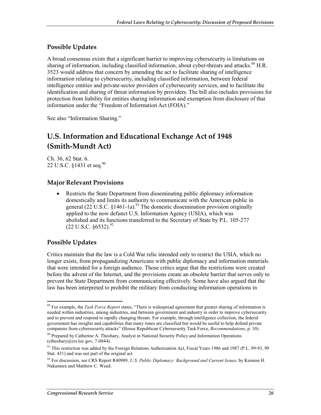#### **Possible Updates**

A broad consensus exists that a significant barrier to improving cybersecurity is limitations on sharing of information, including classified information, about cyber-threats and attacks.<sup>89</sup> H.R. 3523 would address that concern by amending the act to facilitate sharing of intelligence information relating to cybersecurity, including classified information, between federal intelligence entities and private-sector providers of cybersecurity services, and to facilitate the identification and sharing of threat information by providers. The bill also includes provisions for protection from liability for entities sharing information and exemption from disclosure of that information under the "Freedom of Information Act (FOIA)."

See also "Information Sharing."

# **U.S. Information and Educational Exchange Act of 1948 (Smith-Mundt Act)**

Ch. 36, 62 Stat. 6. 22 U.S.C. §1431 et seq.<sup>90</sup>

#### **Major Relevant Provisions**

• Restricts the State Department from disseminating public diplomacy information domestically and limits its authority to communicate with the American public in general (22 U.S.C.  $\S$ 1461-1a).<sup>91</sup> The domestic dissemination provision originally applied to the now defunct U.S. Information Agency (USIA), which was abolished and its functions transferred to the Secretary of State by P.L. 105-277  $(22 \text{ U.S.C. }$  §6532).<sup>92</sup>

#### **Possible Updates**

Critics maintain that the law is a Cold War relic intended only to restrict the USIA, which no longer exists, from propagandizing Americans with public diplomacy and information materials that were intended for a foreign audience. Those critics argue that the restrictions were created before the advent of the Internet, and the provisions create an obsolete barrier that serves only to prevent the State Department from communicating effectively. Some have also argued that the law has been interpreted to prohibit the military from conducting information operations in

<sup>&</sup>lt;u>.</u> 89 For example, the *Task Force Report* states, "There is widespread agreement that greater sharing of information is needed within industries, among industries, and between government and industry in order to improve cybersecurity and to prevent and respond to rapidly changing threats. For example, through intelligence collection, the federal government has insights and capabilities that many times are classified but would be useful to help defend private companies from cybersecurity attacks" (House Republican Cybersecurity Task Force, *Recommendations*, p. 10).

<sup>&</sup>lt;sup>90</sup> Prepared by Catherine A. Theohary, Analyst in National Security Policy and Information Operations (ctheohary@crs.loc.gov, 7-0844).

<sup>&</sup>lt;sup>91</sup> This restriction was added by the Foreign Relations Authorization Act, Fiscal Years 1986 and 1987 (P.L. 99-93, 99 Stat. 431) and was not part of the original act.

<sup>92</sup> For discussion, see CRS Report R40989, *U.S. Public Diplomacy: Background and Current Issues*, by Kennon H. Nakamura and Matthew C. Weed.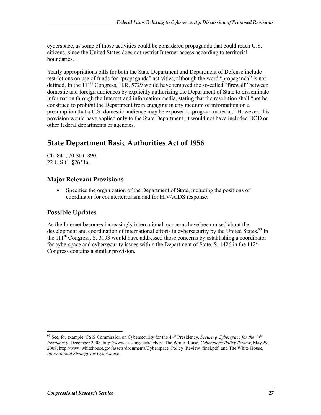cyberspace, as some of those activities could be considered propaganda that could reach U.S. citizens, since the United States does not restrict Internet access according to territorial boundaries.

Yearly appropriations bills for both the State Department and Department of Defense include restrictions on use of funds for "propaganda" activities, although the word "propaganda" is not defined. In the 111<sup>th</sup> Congress, H.R. 5729 would have removed the so-called "firewall" between domestic and foreign audiences by explicitly authorizing the Department of State to disseminate information through the Internet and information media, stating that the resolution shall "not be construed to prohibit the Department from engaging in any medium of information on a presumption that a U.S. domestic audience may be exposed to program material." However, this provision would have applied only to the State Department; it would not have included DOD or other federal departments or agencies.

## **State Department Basic Authorities Act of 1956**

Ch. 841, 70 Stat. 890. 22 U.S.C. §2651a.

#### **Major Relevant Provisions**

• Specifies the organization of the Department of State, including the positions of coordinator for counterterrorism and for HIV/AIDS response.

#### **Possible Updates**

As the Internet becomes increasingly international, concerns have been raised about the development and coordination of international efforts in cybersecurity by the United States.<sup>93</sup> In the  $11<sup>th</sup>$  Congress, S. 3193 would have addressed those concerns by establishing a coordinator for cyberspace and cybersecurity issues within the Department of State. S. 1426 in the  $112<sup>th</sup>$ Congress contains a similar provision.

1

<sup>93</sup> See, for example, CSIS Commission on Cybersecurity for the 44th Presidency, *Securing Cyberspace for the 44th Presidency*, December 2008, http://www.csis.org/tech/cyber/; The White House, *Cyberspace Policy Review*, May 29, 2009, http://www.whitehouse.gov/assets/documents/Cyberspace\_Policy\_Review\_final.pdf; and The White House, *International Strategy for Cyberspace*.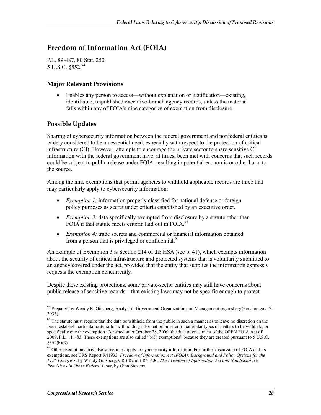# **Freedom of Information Act (FOIA)**

P.L. 89-487, 80 Stat. 250. 5 U.S.C. §552.94

#### **Major Relevant Provisions**

• Enables any person to access—without explanation or justification—existing, identifiable, unpublished executive-branch agency records, unless the material falls within any of FOIA's nine categories of exemption from disclosure.

#### **Possible Updates**

Sharing of cybersecurity information between the federal government and nonfederal entities is widely considered to be an essential need, especially with respect to the protection of critical infrastructure (CI). However, attempts to encourage the private sector to share sensitive CI information with the federal government have, at times, been met with concerns that such records could be subject to public release under FOIA, resulting in potential economic or other harm to the source.

Among the nine exemptions that permit agencies to withhold applicable records are three that may particularly apply to cybersecurity information:

- *Exemption 1:* information properly classified for national defense or foreign policy purposes as secret under criteria established by an executive order.
- *Exemption 3:* data specifically exempted from disclosure by a statute other than FOIA if that statute meets criteria laid out in FOIA.<sup>95</sup>
- *Exemption 4:* trade secrets and commercial or financial information obtained from a person that is privileged or confidential.<sup>96</sup>

An example of Exemption 3 is Section 214 of the HSA (see p. 41), which exempts information about the security of critical infrastructure and protected systems that is voluntarily submitted to an agency covered under the act, provided that the entity that supplies the information expressly requests the exemption concurrently.

Despite these existing protections, some private-sector entities may still have concerns about public release of sensitive records—that existing laws may not be specific enough to protect

<u>.</u>

<sup>94</sup> Prepared by Wendy R. Ginsberg, Analyst in Government Organization and Management (wginsberg@crs.loc.gov, 7-3933).

<sup>&</sup>lt;sup>95</sup> The statute must require that the data be withheld from the public in such a manner as to leave no discretion on the issue, establish particular criteria for withholding information or refer to particular types of matters to be withheld, or specifically cite the exemption if enacted after October 28, 2009, the date of enactment of the OPEN FOIA Act of 2009, P.L. 111-83. These exemptions are also called "b(3) exemptions" because they are created pursuant to 5 U.S.C. §552(b)(3).

<sup>&</sup>lt;sup>96</sup> Other exemptions may also sometimes apply to cybersecurity information. For further discussion of FOIA and its exemptions, see CRS Report R41933, *Freedom of Information Act (FOIA): Background and Policy Options for the 112th Congress*, by Wendy Ginsberg, CRS Report R41406, *The Freedom of Information Act and Nondisclosure Provisions in Other Federal Laws*, by Gina Stevens.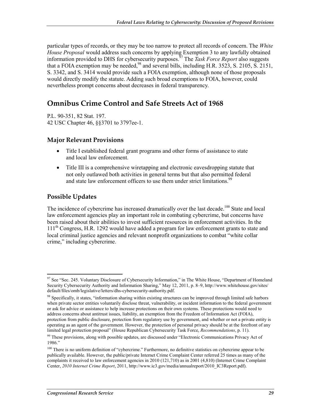particular types of records, or they may be too narrow to protect all records of concern. The *White House Proposal* would address such concerns by applying Exemption 3 to any lawfully obtained information provided to DHS for cybersecurity purposes.97 The *Task Force Report* also suggests that a FOIA exemption may be needed,  $98$  and several bills, including H.R. 3523, S. 2105, S. 2151, S. 3342, and S. 3414 would provide such a FOIA exemption, although none of those proposals would directly modify the statute. Adding such broad exemptions to FOIA, however, could nevertheless prompt concerns about decreases in federal transparency.

# **Omnibus Crime Control and Safe Streets Act of 1968**

P.L. 90-351, 82 Stat. 197. 42 USC Chapter 46, §§3701 to 3797ee-1.

#### **Major Relevant Provisions**

- Title I established federal grant programs and other forms of assistance to state and local law enforcement.
- Title III is a comprehensive wiretapping and electronic eavesdropping statute that not only outlawed both activities in general terms but that also permitted federal and state law enforcement officers to use them under strict limitations.<sup>99</sup>

#### **Possible Updates**

<u>.</u>

The incidence of cybercrime has increased dramatically over the last decade.<sup>100</sup> State and local law enforcement agencies play an important role in combating cybercrime, but concerns have been raised about their abilities to invest sufficient resources in enforcement activities. In the  $111<sup>th</sup>$  Congress, H.R. 1292 would have added a program for law enforcement grants to state and local criminal justice agencies and relevant nonprofit organizations to combat "white collar crime," including cybercrime.

<sup>&</sup>lt;sup>97</sup> See "Sec. 245. Voluntary Disclosure of Cybersecurity Information," in The White House, "Department of Homeland Security Cybersecurity Authority and Information Sharing," May 12, 2011, p. 8–9, http://www.whitehouse.gov/sites/ default/files/omb/legislative/letters/dhs-cybersecurity-authority.pdf.

<sup>98</sup> Specifically, it states, "information sharing within existing structures can be improved through limited safe harbors when private sector entities voluntarily disclose threat, vulnerability, or incident information to the federal government or ask for advice or assistance to help increase protections on their own systems. These protections would need to address concerns about antitrust issues, liability, an exemption from the Freedom of Information Act (FOIA), protection from public disclosure, protection from regulatory use by government, and whether or not a private entity is operating as an agent of the government. However, the protection of personal privacy should be at the forefront of any limited legal protection proposal" (House Republican Cybersecurity Task Force, *Recommendations*, p. 11).

<sup>&</sup>lt;sup>99</sup> These provisions, along with possible updates, are discussed under "Electronic Communications Privacy Act of 1986."

<sup>&</sup>lt;sup>100</sup> There is no uniform definition of "cybercrime." Furthermore, no definitive statistics on cybercrime appear to be publically available. However, the public/private Internet Crime Complaint Center referred 25 times as many of the complaints it received to law enforcement agencies in 2010 (121,710) as in 2001 (4,810) (Internet Crime Complaint Center, *2010 Internet Crime Report*, 2011, http://www.ic3.gov/media/annualreport/2010\_IC3Report.pdf).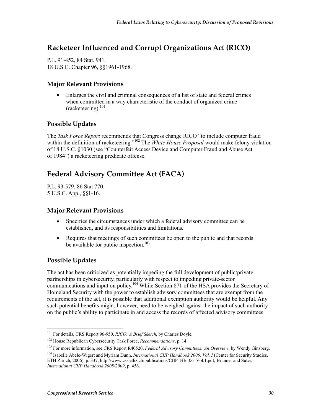## **Racketeer Influenced and Corrupt Organizations Act (RICO)**

P.L. 91-452, 84 Stat. 941. 18 U.S.C. Chapter 96, §§1961-1968.

#### **Major Relevant Provisions**

• Enlarges the civil and criminal consequences of a list of state and federal crimes when committed in a way characteristic of the conduct of organized crime  $(racketering)$ .<sup>101</sup>

#### **Possible Updates**

The *Task Force Report* recommends that Congress change RICO "to include computer fraud within the definition of racketeering."<sup>102</sup> The *White House Proposal* would make felony violation of 18 U.S.C. §1030 (see "Counterfeit Access Device and Computer Fraud and Abuse Act of 1984") a racketeering predicate offense.

# **Federal Advisory Committee Act (FACA)**

P.L. 93-579, 86 Stat 770. 5 U.S.C. App., §§1-16.

#### **Major Relevant Provisions**

- Specifies the circumstances under which a federal advisory committee can be established, and its responsibilities and limitations.
- Requires that meetings of such committees be open to the public and that records be available for public inspection.<sup>103</sup>

#### **Possible Updates**

The act has been criticized as potentially impeding the full development of public/private partnerships in cybersecurity, particularly with respect to impeding private-sector communications and input on policy.<sup>104</sup> While Section 871 of the HSA provides the Secretary of Homeland Security with the power to establish advisory committees that are exempt from the requirements of the act, it is possible that additional exemption authority would be helpful. Any such potential benefits might, however, need to be weighed against the impact of such authority on the public's ability to participate in and access the records of affected advisory committees.

<sup>1</sup> 101 For details, CRS Report 96-950, *RICO: A Brief Sketch*, by Charles Doyle.

<sup>102</sup> House Republican Cybersecurity Task Force, *Recommendations*, p. 14.

<sup>103</sup> For more information, see CRS Report R40520, *Federal Advisory Committees: An Overview*, by Wendy Ginsberg.

<sup>&</sup>lt;sup>104</sup> Isabelle Abele-Wigert and Myriam Dunn, *International CIIP Handbook 2006, Vol. I* (Center for Security Studies, ETH Zurich, 2006), p. 337, http://www.css.ethz.ch/publications/CIIP\_HB\_06\_Vol.1.pdf; Brunner and Suter, *International CIIP Handbook 2008/2009*, p. 456.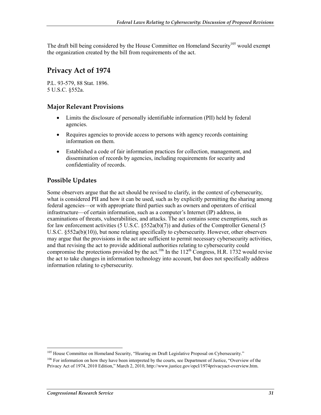The draft bill being considered by the House Committee on Homeland Security<sup>105</sup> would exempt the organization created by the bill from requirements of the act.

## **Privacy Act of 1974**

P.L. 93-579, 88 Stat. 1896. 5 U.S.C. §552a.

#### **Major Relevant Provisions**

- Limits the disclosure of personally identifiable information (PII) held by federal agencies.
- Requires agencies to provide access to persons with agency records containing information on them.
- Established a code of fair information practices for collection, management, and dissemination of records by agencies, including requirements for security and confidentiality of records.

#### **Possible Updates**

Some observers argue that the act should be revised to clarify, in the context of cybersecurity, what is considered PII and how it can be used, such as by explicitly permitting the sharing among federal agencies—or with appropriate third parties such as owners and operators of critical infrastructure—of certain information, such as a computer's Internet (IP) address, in examinations of threats, vulnerabilities, and attacks. The act contains some exemptions, such as for law enforcement activities (5 U.S.C.  $\S$ 552a(b)(7)) and duties of the Comptroller General (5 U.S.C. §552a(b)(10)), but none relating specifically to cybersecurity. However, other observers may argue that the provisions in the act are sufficient to permit necessary cybersecurity activities, and that revising the act to provide additional authorities relating to cybersecurity could compromise the protections provided by the act.<sup>106</sup> In the  $112<sup>th</sup>$  Congress, H.R. 1732 would revise the act to take changes in information technology into account, but does not specifically address information relating to cybersecurity.

1

<sup>&</sup>lt;sup>105</sup> House Committee on Homeland Security, "Hearing on Draft Legislative Proposal on Cybersecurity."

<sup>&</sup>lt;sup>106</sup> For information on how they have been interpreted by the courts, see Department of Justice, "Overview of the Privacy Act of 1974, 2010 Edition," March 2, 2010, http://www.justice.gov/opcl/1974privacyact-overview.htm.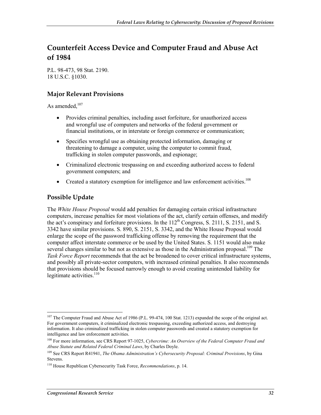# **Counterfeit Access Device and Computer Fraud and Abuse Act of 1984**

P.L. 98-473, 98 Stat. 2190. 18 U.S.C. §1030.

#### **Major Relevant Provisions**

As amended. $107$ 

- Provides criminal penalties, including asset forfeiture, for unauthorized access and wrongful use of computers and networks of the federal government or financial institutions, or in interstate or foreign commerce or communication;
- Specifies wrongful use as obtaining protected information, damaging or threatening to damage a computer, using the computer to commit fraud, trafficking in stolen computer passwords, and espionage;
- Criminalized electronic trespassing on and exceeding authorized access to federal government computers; and
- Created a statutory exemption for intelligence and law enforcement activities.<sup>108</sup>

#### **Possible Update**

1

The *White House Proposal* would add penalties for damaging certain critical infrastructure computers, increase penalties for most violations of the act, clarify certain offenses, and modify the act's conspiracy and forfeiture provisions. In the  $112<sup>th</sup>$  Congress, S. 2111, S. 2151, and S. 3342 have similar provisions. S. 890, S. 2151, S. 3342, and the White House Proposal would enlarge the scope of the password trafficking offense by removing the requirement that the computer affect interstate commerce or be used by the United States. S. 1151 would also make several changes similar to but not as extensive as those in the Administration proposal.<sup>109</sup> The *Task Force Report* recommends that the act be broadened to cover critical infrastructure systems, and possibly all private-sector computers, with increased criminal penalties. It also recommends that provisions should be focused narrowly enough to avoid creating unintended liability for legitimate activities. $110$ 

<sup>&</sup>lt;sup>107</sup> The Computer Fraud and Abuse Act of 1986 (P.L. 99-474, 100 Stat. 1213) expanded the scope of the original act. For government computers, it criminalized electronic trespassing, exceeding authorized access, and destroying information. It also criminalized trafficking in stolen computer passwords and created a statutory exemption for intelligence and law enforcement activities.

<sup>108</sup> For more information, see CRS Report 97-1025, *Cybercrime: An Overview of the Federal Computer Fraud and Abuse Statute and Related Federal Criminal Laws*, by Charles Doyle.

<sup>109</sup> See CRS Report R41941, *The Obama Administration's Cybersecurity Proposal: Criminal Provisions*, by Gina Stevens.

<sup>110</sup> House Republican Cybersecurity Task Force, *Recommendations*, p. 14.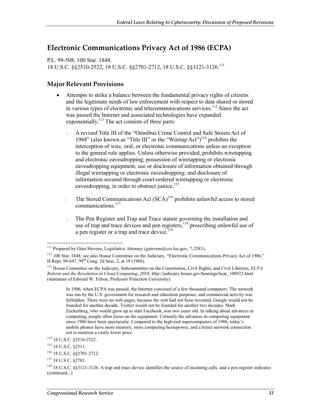## **Electronic Communications Privacy Act of 1986 (ECPA)**

P.L. 99-508, 100 Stat. 1848. 18 U.S.C. §§2510-2522, 18 U.S.C. §§2701-2712, 18 U.S.C. §§3121-3126.111

#### **Major Relevant Provisions**

- Attempts to strike a balance between the fundamental privacy rights of citizens and the legitimate needs of law enforcement with respect to data shared or stored in various types of electronic and telecommunications services.<sup>112</sup> Since the act was passed the Internet and associated technologies have expanded exponentially.<sup>113</sup> The act consists of three parts:
	- A revised Title III of the "Omnibus Crime Control and Safe Streets Act of 1968" (also known as "Title III" or the "Wiretap Act")<sup>114</sup> prohibits the interception of wire, oral, or electronic communications unless an exception to the general rule applies. Unless otherwise provided, prohibits wiretapping and electronic eavesdropping; possession of wiretapping or electronic eavesdropping equipment; use or disclosure of information obtained through illegal wiretapping or electronic eavesdropping; and disclosure of information secured through court-ordered wiretapping or electronic eavesdropping, in order to obstruct justice. $115$
	- The Stored Communications Act  $(SCA)^{116}$  prohibits unlawful access to stored communications.<sup>117</sup>
	- The Pen Register and Trap and Trace statute governing the installation and use of trap and trace devices and pen registers, $118$  proscribing unlawful use of a pen register or a trap and trace device.<sup>119</sup>

<sup>1</sup> <sup>111</sup> Prepared by Gina Stevens, Legislative Attorney (gstevens@crs.loc.gov, 7-2581).

<sup>&</sup>lt;sup>112</sup> 100 Stat. 1848; see also House Committee on the Judiciary, "Electronic Communications Privacy Act of 1986," H.Rept. 99-647, 99th Cong. 2d Sess. 2, at 19 (1986).

<sup>113</sup> House Committee on the Judiciary, Subcommittee on the Constitution, Civil Rights, and Civil Liberties, *ECPA Reform and the Revolution in Cloud Computing*, 2010, http://judiciary.house.gov/hearings/hear\_100923.html (statement of Edward W. Felton, Professor Princeton University):

In 1986, when ECPA was passed, the Internet consisted of a few thousand computers. The network was run by the U.S. government for research and education purposes, and commercial activity was forbidden. There were no web pages, because the web had not been invented. Google would not be founded for another decade. Twitter would not be founded for another two decades. Mark Zuckerberg, who would grow up to start Facebook, was two years old. In talking about advances in computing, people often focus on the equipment. Certainly the advances in computing equipment since 1986 have been spectacular. Compared to the high-end supercomputers of 1986, today's mobile phones have more memory, more computing horsepower, and a better network connection not to mention a vastly lower price.

<sup>114 18</sup> U.S.C. §2510-2522.

<sup>115 18</sup> U.S.C. §2511.

<sup>116 18</sup> U.S.C. §§2701-2712.

<sup>117 18</sup> U.S.C. §2701.

<sup>118 18</sup> U.S.C. §§3121-3126. A trap and trace device identifies the source of incoming calls, and a pen register indicates (continued...)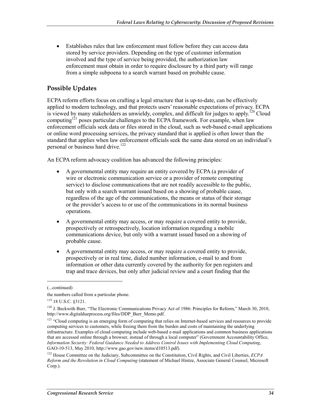• Establishes rules that law enforcement must follow before they can access data stored by service providers. Depending on the type of customer information involved and the type of service being provided, the authorization law enforcement must obtain in order to require disclosure by a third party will range from a simple subpoena to a search warrant based on probable cause.

#### **Possible Updates**

ECPA reform efforts focus on crafting a legal structure that is up-to-date, can be effectively applied to modern technology, and that protects users' reasonable expectations of privacy. ECPA is viewed by many stakeholders as unwieldy, complex, and difficult for judges to apply.<sup>120</sup> Cloud computing<sup>121</sup> poses particular challenges to the ECPA framework. For example, when law enforcement officials seek data or files stored in the cloud, such as web-based e-mail applications or online word processing services, the privacy standard that is applied is often lower than the standard that applies when law enforcement officials seek the same data stored on an individual's personal or business hard drive.<sup>122</sup>

An ECPA reform advocacy coalition has advanced the following principles:

- A governmental entity may require an entity covered by ECPA (a provider of wire or electronic communication service or a provider of remote computing service) to disclose communications that are not readily accessible to the public, but only with a search warrant issued based on a showing of probable cause, regardless of the age of the communications, the means or status of their storage or the provider's access to or use of the communications in its normal business operations.
- A governmental entity may access, or may require a covered entity to provide, prospectively or retrospectively, location information regarding a mobile communications device, but only with a warrant issued based on a showing of probable cause.
- A governmental entity may access, or may require a covered entity to provide, prospectively or in real time, dialed number information, e-mail to and from information or other data currently covered by the authority for pen registers and trap and trace devices, but only after judicial review and a court finding that the

 $\overline{a}$ 

<sup>(...</sup>continued)

the numbers called from a particular phone.

<sup>119 18</sup> U.S.C. §3121.

<sup>&</sup>lt;sup>120</sup> J. Beckwith Burr, "The Electronic Communications Privacy Act of 1986: Principles for Reform," March 30, 2010, http://www.digitaldueprocess.org/files/DDP\_Burr\_Memo.pdf.

<sup>&</sup>lt;sup>121</sup> "Cloud computing is an emerging form of computing that relies on Internet-based services and resources to provide computing services to customers, while freeing them from the burden and costs of maintaining the underlying infrastructure. Examples of cloud computing include web-based e-mail applications and common business applications that are accessed online through a browser, instead of through a local computer" (Government Accountability Office, *Information Security: Federal Guidance Needed to Address Control Issues with Implementing Cloud Computing*, GAO-10-513, May 2010, http://www.gao.gov/new.items/d10513.pdf).

<sup>122</sup> House Committee on the Judiciary, Subcommittee on the Constitution, Civil Rights, and Civil Liberties, *ECPA Reform and the Revolution in Cloud Computing* (statement of Michael Hintze, Associate General Counsel, Microsoft Corp.).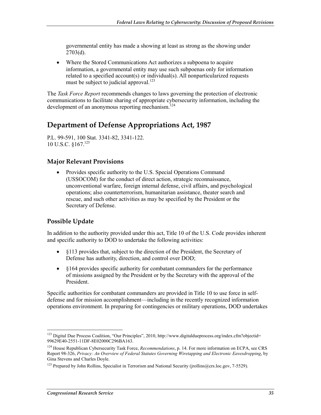governmental entity has made a showing at least as strong as the showing under  $2703(d)$ .

• Where the Stored Communications Act authorizes a subpoena to acquire information, a governmental entity may use such subpoenas only for information related to a specified account(s) or individual(s). All nonparticularized requests must be subject to judicial approval.<sup>123</sup>

The *Task Force Report* recommends changes to laws governing the protection of electronic communications to facilitate sharing of appropriate cybersecurity information, including the development of an anonymous reporting mechanism.<sup>124</sup>

### **Department of Defense Appropriations Act, 1987**

P.L. 99-591, 100 Stat. 3341-82, 3341-122. 10 U.S.C. §167.125

#### **Major Relevant Provisions**

• Provides specific authority to the U.S. Special Operations Command (USSOCOM) for the conduct of direct action, strategic reconnaissance, unconventional warfare, foreign internal defense, civil affairs, and psychological operations; also counterterrorism, humanitarian assistance, theater search and rescue, and such other activities as may be specified by the President or the Secretary of Defense.

#### **Possible Update**

In addition to the authority provided under this act, Title 10 of the U.S. Code provides inherent and specific authority to DOD to undertake the following activities:

- §113 provides that, subject to the direction of the President, the Secretary of Defense has authority, direction, and control over DOD;
- $§164$  provides specific authority for combatant commanders for the performance of missions assigned by the President or by the Secretary with the approval of the President.

Specific authorities for combatant commanders are provided in Title 10 to use force in selfdefense and for mission accomplishment—including in the recently recognized information operations environment. In preparing for contingencies or military operations, DOD undertakes

<sup>1</sup> <sup>123</sup> Digital Due Process Coalition, "Our Principles", 2010, http://www.digitaldueprocess.org/index.cfm?objectid= 99629E40-2551-11DF-8E02000C296BA163.

<sup>&</sup>lt;sup>124</sup> House Republican Cybersecurity Task Force, *Recommendations*, p. 14. For more information on ECPA, see CRS Report 98-326, *Privacy: An Overview of Federal Statutes Governing Wiretapping and Electronic Eavesdropping*, by Gina Stevens and Charles Doyle.

<sup>&</sup>lt;sup>125</sup> Prepared by John Rollins, Specialist in Terrorism and National Security (jrollins@crs.loc.gov, 7-5529).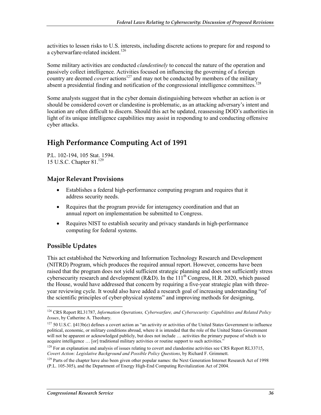activities to lessen risks to U.S. interests, including discrete actions to prepare for and respond to a cyberwarfare-related incident.<sup>126</sup>

Some military activities are conducted *clandestinely* to conceal the nature of the operation and passively collect intelligence. Activities focused on influencing the governing of a foreign country are deemed *covert* actions<sup>127</sup> and may not be conducted by members of the military absent a presidential finding and notification of the congressional intelligence committees.<sup>128</sup>

Some analysts suggest that in the cyber domain distinguishing between whether an action is or should be considered covert or clandestine is problematic, as an attacking adversary's intent and location are often difficult to discern. Should this act be updated, reassessing DOD's authorities in light of its unique intelligence capabilities may assist in responding to and conducting offensive cyber attacks.

# **High Performance Computing Act of 1991**

P.L. 102-194, 105 Stat. 1594. 15 U.S.C. Chapter 81.129

#### **Major Relevant Provisions**

- Establishes a federal high-performance computing program and requires that it address security needs.
- Requires that the program provide for interagency coordination and that an annual report on implementation be submitted to Congress.
- Requires NIST to establish security and privacy standards in high-performance computing for federal systems.

#### **Possible Updates**

1

This act established the Networking and Information Technology Research and Development (NITRD) Program, which produces the required annual report. However, concerns have been raised that the program does not yield sufficient strategic planning and does not sufficiently stress cybersecurity research and development (R&D). In the  $111^{th}$  Congress, H.R. 2020, which passed the House, would have addressed that concern by requiring a five-year strategic plan with threeyear reviewing cycle. It would also have added a research goal of increasing understanding "of the scientific principles of cyber-physical systems" and improving methods for designing,

<sup>126</sup> CRS Report RL31787, *Information Operations, Cyberwarfare, and Cybersecurity: Capabilities and Related Policy Issues*, by Catherine A. Theohary.

<sup>127 50</sup> U.S.C. §413b(e) defines a covert action as "an activity or activities of the United States Government to influence political, economic, or military conditions abroad, where it is intended that the role of the United States Government will not be apparent or acknowledged publicly, but does not include ... activities the primary purpose of which is to acquire intelligence … [or] traditional military activities or routine support to such activities."

<sup>&</sup>lt;sup>128</sup> For an explanation and analysis of issues relating to covert and clandestine activities see CRS Report RL33715, *Covert Action: Legislative Background and Possible Policy Questions*, by Richard F. Grimmett.

 $129$  Parts of the chapter have also been given other popular names: the Next Generation Internet Research Act of 1998 (P.L. 105-305), and the Department of Energy High-End Computing Revitalization Act of 2004.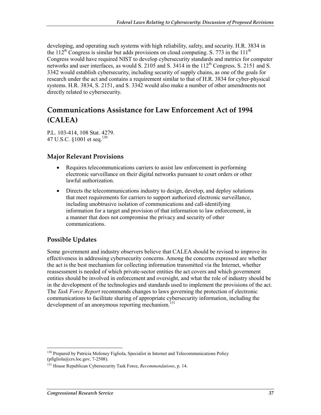developing, and operating such systems with high reliability, safety, and security. H.R. 3834 in the 112<sup>th</sup> Congress is similar but adds provisions on cloud computing. S. 773 in the 111<sup>th</sup> Congress would have required NIST to develop cybersecurity standards and metrics for computer networks and user interfaces, as would S. 2105 and S.  $3414$  in the  $112<sup>th</sup>$  Congress. S. 2151 and S. 3342 would establish cybersecurity, including security of supply chains, as one of the goals for research under the act and contains a requirement similar to that of H.R. 3834 for cyber-physical systems. H.R. 3834, S. 2151, and S. 3342 would also make a number of other amendments not directly related to cybersecurity.

# **Communications Assistance for Law Enforcement Act of 1994 (CALEA)**

P.L. 103-414, 108 Stat. 4279. 47 U.S.C.  $$1001$  et seq.<sup>130</sup>

#### **Major Relevant Provisions**

- Requires telecommunications carriers to assist law enforcement in performing electronic surveillance on their digital networks pursuant to court orders or other lawful authorization.
- Directs the telecommunications industry to design, develop, and deploy solutions that meet requirements for carriers to support authorized electronic surveillance, including unobtrusive isolation of communications and call-identifying information for a target and provision of that information to law enforcement, in a manner that does not compromise the privacy and security of other communications.

#### **Possible Updates**

Some government and industry observers believe that CALEA should be revised to improve its effectiveness in addressing cybersecurity concerns. Among the concerns expressed are whether the act is the best mechanism for collecting information transmitted via the Internet, whether reassessment is needed of which private-sector entities the act covers and which government entities should be involved in enforcement and oversight, and what the role of industry should be in the development of the technologies and standards used to implement the provisions of the act. The *Task Force Report* recommends changes to laws governing the protection of electronic communications to facilitate sharing of appropriate cybersecurity information, including the development of an anonymous reporting mechanism.<sup>131</sup>

<sup>1</sup> <sup>130</sup> Prepared by Patricia Moloney Figliola, Specialist in Internet and Telecommunications Policy (pfigliola@crs.loc.gov, 7-2508).

<sup>131</sup> House Republican Cybersecurity Task Force, *Recommendations*, p. 14.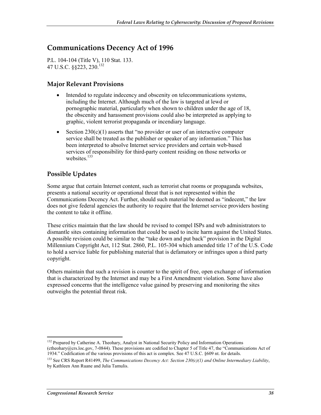# **Communications Decency Act of 1996**

P.L. 104-104 (Title V), 110 Stat. 133. 47 U.S.C. §§223, 230.132

#### **Major Relevant Provisions**

- Intended to regulate indecency and obscenity on telecommunications systems, including the Internet. Although much of the law is targeted at lewd or pornographic material, particularly when shown to children under the age of 18, the obscenity and harassment provisions could also be interpreted as applying to graphic, violent terrorist propaganda or incendiary language.
- Section  $230(c)(1)$  asserts that "no provider or user of an interactive computer service shall be treated as the publisher or speaker of any information." This has been interpreted to absolve Internet service providers and certain web-based services of responsibility for third-party content residing on those networks or websites.<sup>133</sup>

#### **Possible Updates**

Some argue that certain Internet content, such as terrorist chat rooms or propaganda websites, presents a national security or operational threat that is not represented within the Communications Decency Act. Further, should such material be deemed as "indecent," the law does not give federal agencies the authority to require that the Internet service providers hosting the content to take it offline.

These critics maintain that the law should be revised to compel ISPs and web administrators to dismantle sites containing information that could be used to incite harm against the United States. A possible revision could be similar to the "take down and put back" provision in the Digital Millennium Copyright Act, 112 Stat. 2860, P.L. 105-304 which amended title 17 of the U.S. Code to hold a service liable for publishing material that is defamatory or infringes upon a third party copyright.

Others maintain that such a revision is counter to the spirit of free, open exchange of information that is characterized by the Internet and may be a First Amendment violation. Some have also expressed concerns that the intelligence value gained by preserving and monitoring the sites outweighs the potential threat risk.

<sup>1</sup> <sup>132</sup> Prepared by Catherine A. Theohary, Analyst in National Security Policy and Information Operations (ctheohary@crs.loc.gov, 7-0844). These provisions are codified to Chapter 5 of Title 47, the "Communications Act of 1934." Codification of the various provisions of this act is complex. See 47 U.S.C. §609 nt. for details.

<sup>133</sup> See CRS Report R41499, *The Communications Decency Act: Section 230(c)(1) and Online Intermediary Liability*, by Kathleen Ann Ruane and Julia Tamulis.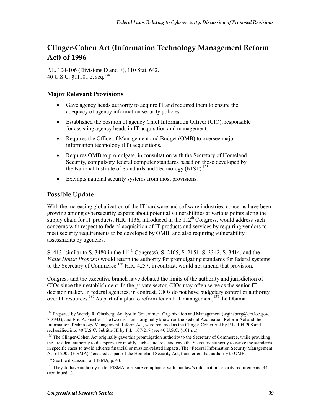# **Clinger-Cohen Act (Information Technology Management Reform Act) of 1996**

P.L. 104-106 (Divisions D and E), 110 Stat. 642. 40 U.S.C.  $$11101$  et seq.<sup>134</sup>

#### **Major Relevant Provisions**

- Gave agency heads authority to acquire IT and required them to ensure the adequacy of agency information security policies.
- Established the position of agency Chief Information Officer (CIO), responsible for assisting agency heads in IT acquisition and management.
- Requires the Office of Management and Budget (OMB) to oversee major information technology (IT) acquisitions.
- Requires OMB to promulgate, in consultation with the Secretary of Homeland Security, compulsory federal computer standards based on those developed by the National Institute of Standards and Technology (NIST).<sup>135</sup>
- Exempts national security systems from most provisions.

#### **Possible Update**

1

With the increasing globalization of the IT hardware and software industries, concerns have been growing among cybersecurity experts about potential vulnerabilities at various points along the supply chain for IT products. H.R. 1136, introduced in the  $112<sup>th</sup>$  Congress, would address such concerns with respect to federal acquisition of IT products and services by requiring vendors to meet security requirements to be developed by OMB, and also requiring vulnerability assessments by agencies.

S. 413 (similar to S. 3480 in the 111<sup>th</sup> Congress), S. 2105, S. 2151, S. 3342, S. 3414, and the *White House Proposal* would return the authority for promulgating standards for federal systems to the Secretary of Commerce.<sup>136</sup> H.R. 4257, in contrast, would not amend that provision.

Congress and the executive branch have debated the limits of the authority and jurisdiction of CIOs since their establishment. In the private sector, CIOs may often serve as the senior IT decision maker. In federal agencies, in contrast, CIOs do not have budgetary control or authority over IT resources.<sup>137</sup> As part of a plan to reform federal IT management,  $138$  the Obama

<sup>&</sup>lt;sup>134</sup> Prepared by Wendy R. Ginsberg, Analyst in Government Organization and Management (wginsberg@crs.loc.gov, 7-3933), and Eric A. Fischer. The two divisions, originally known as the Federal Acquisition Reform Act and the Information Technology Management Reform Act, were renamed as the Clinger-Cohen Act by P.L. 104-208 and reclassified into 40 U.S.C. Subtitle III by P.L. 107-217 (see 40 U.S.C. §101 nt.).

<sup>&</sup>lt;sup>135</sup> The Clinger-Cohen Act originally gave this promulgation authority to the Secretary of Commerce, while providing the President authority to disapprove or modify such standards, and gave the Secretary authority to waive the standards in specific cases to avoid adverse financial or mission-related impacts. The "Federal Information Security Management Act of 2002 (FISMA)," enacted as part of the Homeland Security Act, transferred that authority to OMB.

<sup>&</sup>lt;sup>136</sup> See the discussion of FISMA, p. 43.

<sup>&</sup>lt;sup>137</sup> They do have authority under FISMA to ensure compliance with that law's information security requirements (44 (continued...)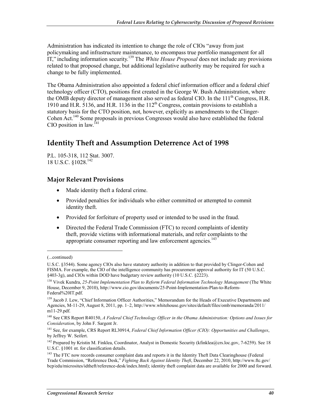Administration has indicated its intention to change the role of CIOs "away from just policymaking and infrastructure maintenance, to encompass true portfolio management for all IT," including information security.139 The *White House Proposal* does not include any provisions related to that proposed change, but additional legislative authority may be required for such a change to be fully implemented.

The Obama Administration also appointed a federal chief information officer and a federal chief technology officer (CTO), positions first created in the George W. Bush Administration, where the OMB deputy director of management also served as federal CIO. In the  $111<sup>th</sup>$  Congress, H.R. 1910 and H.R. 5136, and H.R. 1136 in the 112<sup>th</sup> Congress, contain provisions to establish a statutory basis for the CTO position, not, however, explicitly as amendments to the Clinger-Cohen Act.140 Some proposals in previous Congresses would also have established the federal CIO position in law.<sup>141</sup>

# **Identity Theft and Assumption Deterrence Act of 1998**

P.L. 105-318, 112 Stat. 3007. 18 U.S.C. §1028.142

#### **Major Relevant Provisions**

- Made identity theft a federal crime.
- Provided penalties for individuals who either committed or attempted to commit identity theft.
- Provided for forfeiture of property used or intended to be used in the fraud.
- Directed the Federal Trade Commission (FTC) to record complaints of identity theft, provide victims with informational materials, and refer complaints to the appropriate consumer reporting and law enforcement agencies.<sup>143</sup>

 $\overline{a}$ 

<sup>(...</sup>continued)

U.S.C. §3544). Some agency CIOs also have statutory authority in addition to that provided by Clinger-Cohen and FISMA. For example, the CIO of the intelligence community has procurement approval authority for IT (50 U.S.C. §403-3g), and CIOs within DOD have budgetary review authority (10 U.S.C. §2223).

<sup>&</sup>lt;sup>138</sup> Vivek Kundra, 25-Point Implementation Plan to Reform Federal Information Technology Management (The White House, December 9, 2010), http://www.cio.gov/documents/25-Point-Implementation-Plan-to-Reform-Federal%20IT.pdf.

<sup>&</sup>lt;sup>139</sup> Jacob J. Lew, "Chief Information Officer Authorities," Memorandum for the Heads of Executive Departments and Agencies, M-11-29, August 8, 2011, pp. 1–2, http://www.whitehouse.gov/sites/default/files/omb/memoranda/2011/ m11-29.pdf.

<sup>140</sup> See CRS Report R40150, *A Federal Chief Technology Officer in the Obama Administration: Options and Issues for Consideration*, by John F. Sargent Jr.

<sup>141</sup> See, for example, CRS Report RL30914, *Federal Chief Information Officer (CIO): Opportunities and Challenges*, by Jeffrey W. Seifert.

<sup>&</sup>lt;sup>142</sup> Prepared by Kristin M. Finklea, Coordinator, Analyst in Domestic Security (kfinklea@crs.loc.gov, 7-6259). See 18 U.S.C. §1001 nt. for classification details.

<sup>&</sup>lt;sup>143</sup> The FTC now records consumer complaint data and reports it in the Identity Theft Data Clearinghouse (Federal Trade Commission, "Reference Desk," *Fighting Back Against Identity Theft*, December 22, 2010, http://www.ftc.gov/ bcp/edu/microsites/idtheft/reference-desk/index.html); identity theft complaint data are available for 2000 and forward.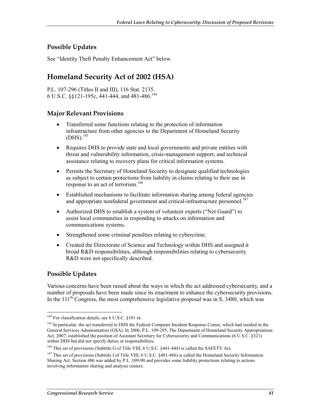#### **Possible Updates**

See "Identity Theft Penalty Enhancement Act" below.

# **Homeland Security Act of 2002 (HSA)**

P.L. 107-296 (Titles II and III), 116 Stat. 2135. 6 U.S.C. §§121-195c, 441-444, and 481-486.144

#### **Major Relevant Provisions**

- Transferred some functions relating to the protection of information infrastructure from other agencies to the Department of Homeland Security  $(DHS).$ <sup>145</sup>
- Requires DHS to provide state and local governments and private entities with threat and vulnerability information, crisis-management support, and technical assistance relating to recovery plans for critical information systems.
- Permits the Secretary of Homeland Security to designate qualified technologies as subject to certain protections from liability in claims relating to their use in response to an act of terrorism.<sup>146</sup>
- Established mechanisms to facilitate information sharing among federal agencies and appropriate nonfederal government and critical-infrastructure personnel.<sup>147</sup>
- Authorized DHS to establish a system of volunteer experts ("Net Guard") to assist local communities in responding to attacks on information and communications systems.
- Strengthened some criminal penalties relating to cybercrime.
- Created the Directorate of Science and Technology within DHS and assigned it broad R&D responsibilities, although responsibilities relating to cybersecurity R&D were not specifically described.

#### **Possible Updates**

1

Various concerns have been raised about the ways in which the act addressed cybersecurity, and a number of proposals have been made since its enactment to enhance the cybersecurity provisions. In the  $111<sup>th</sup>$  Congress, the most comprehensive legislative proposal was in S. 3480, which was

<sup>&</sup>lt;sup>144</sup> For classification details, see 6 U.S.C. §101 nt.

<sup>&</sup>lt;sup>145</sup> In particular, the act transferred to DHS the Federal Computer Incident Response Center, which had resided in the General Services Administration (GSA). In 2006, P.L. 109-295, The Department of Homeland Security Appropriations Act, 2007, established the position of Assistant Secretary for Cybersecurity and Communications (6 U.S.C. §321) within DHS but did not specify duties or responsibilities.

<sup>&</sup>lt;sup>146</sup> This set of provisions (Subtitle G of Title VIII, 6 U.S.C. §441-444) is called the SAFETY Act.

<sup>&</sup>lt;sup>147</sup> This set of provisions (Subtitle I of Title VIII, 6 U.S.C. §481-486) is called the Homeland Security Information Sharing Act. Section 486 was added by P.L. 109-90 and provides some liability protections relating to actions involving information sharing and analysis centers.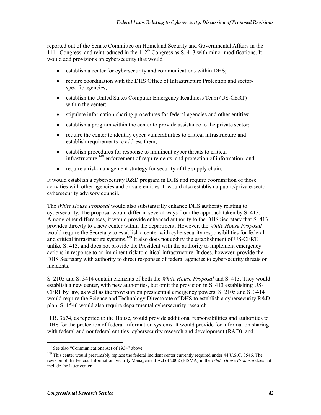reported out of the Senate Committee on Homeland Security and Governmental Affairs in the  $111<sup>th</sup>$  Congress, and reintroduced in the  $112<sup>th</sup>$  Congress as S. 413 with minor modifications. It would add provisions on cybersecurity that would

- establish a center for cybersecurity and communications within DHS;
- require coordination with the DHS Office of Infrastructure Protection and sectorspecific agencies;
- establish the United States Computer Emergency Readiness Team (US-CERT) within the center;
- stipulate information-sharing procedures for federal agencies and other entities;
- establish a program within the center to provide assistance to the private sector;
- require the center to identify cyber vulnerabilities to critical infrastructure and establish requirements to address them;
- establish procedures for response to imminent cyber threats to critical infrastructure,<sup>148</sup> enforcement of requirements, and protection of information; and
- require a risk-management strategy for security of the supply chain.

It would establish a cybersecurity R&D program in DHS and require coordination of those activities with other agencies and private entities. It would also establish a public/private-sector cybersecurity advisory council.

The *White House Proposal* would also substantially enhance DHS authority relating to cybersecurity. The proposal would differ in several ways from the approach taken by S. 413. Among other differences, it would provide enhanced authority to the DHS Secretary that S. 413 provides directly to a new center within the department. However, the *White House Proposal* would require the Secretary to establish a center with cybersecurity responsibilities for federal and critical infrastructure systems.<sup>149</sup> It also does not codify the establishment of US-CERT, unlike S. 413, and does not provide the President with the authority to implement emergency actions in response to an imminent risk to critical infrastructure. It does, however, provide the DHS Secretary with authority to direct responses of federal agencies to cybersecurity threats or incidents.

S. 2105 and S. 3414 contain elements of both the *White House Proposal* and S. 413. They would establish a new center, with new authorities, but omit the provision in S. 413 establishing US-CERT by law, as well as the provision on presidential emergency powers. S. 2105 and S. 3414 would require the Science and Technology Directorate of DHS to establish a cybersecurity R&D plan. S. 1546 would also require departmental cybersecurity research.

H.R. 3674, as reported to the House, would provide additional responsibilities and authorities to DHS for the protection of federal information systems. It would provide for information sharing with federal and nonfederal entities, cybersecurity research and development (R&D), and

1

<sup>&</sup>lt;sup>148</sup> See also "Communications Act of 1934" above.

<sup>&</sup>lt;sup>149</sup> This center would presumably replace the federal incident center currently required under 44 U.S.C. 3546. The revision of the Federal Information Security Management Act of 2002 (FISMA) in the *White House Proposal* does not include the latter center.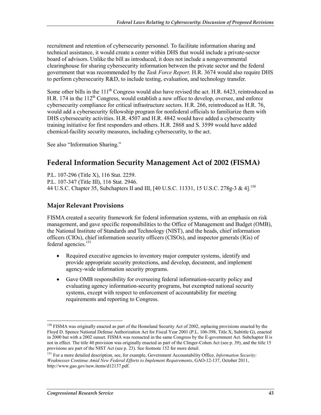recruitment and retention of cybersecurity personnel. To facilitate information sharing and technical assistance, it would create a center within DHS that would include a private-sector board of advisors. Unlike the bill as introduced, it does not include a nongovernmental clearinghouse for sharing cybersecurity information between the private sector and the federal government that was recommended by the *Task Force Report*. H.R. 3674 would also require DHS to perform cybersecurity R&D, to include testing, evaluation, and technology transfer.

Some other bills in the  $111<sup>th</sup>$  Congress would also have revised the act. H.R. 6423, reintroduced as H.R. 174 in the  $112<sup>th</sup>$  Congress, would establish a new office to develop, oversee, and enforce cybersecurity compliance for critical infrastructure sectors. H.R. 266, reintroduced as H.R. 76, would add a cybersecurity fellowship program for nonfederal officials to familiarize them with DHS cybersecurity activities. H.R. 4507 and H.R. 4842 would have added a cybersecurity training initiative for first responders and others. H.R. 2868 and S. 3599 would have added chemical-facility security measures, including cybersecurity, to the act.

See also "Information Sharing."

# **Federal Information Security Management Act of 2002 (FISMA)**

P.L. 107-296 (Title X), 116 Stat. 2259. P.L. 107-347 (Title III), 116 Stat. 2946. 44 U.S.C. Chapter 35, Subchapters II and III, [40 U.S.C. 11331, 15 U.S.C. 278g-3 & 4].150

#### **Major Relevant Provisions**

FISMA created a security framework for federal information systems, with an emphasis on risk management, and gave specific responsibilities to the Office of Management and Budget (OMB), the National Institute of Standards and Technology (NIST), and the heads, chief information officers (CIOs), chief information security officers (CISOs), and inspector generals (IGs) of federal agencies.<sup>151</sup>

- Required executive agencies to inventory major computer systems, identify and provide appropriate security protections, and develop, document, and implement agency-wide information security programs.
- Gave OMB responsibility for overseeing federal information-security policy and evaluating agency information-security programs, but exempted national security systems, except with respect to enforcement of accountability for meeting requirements and reporting to Congress.

<sup>1</sup> <sup>150</sup> FISMA was originally enacted as part of the Homeland Security Act of 2002, replacing provisions enacted by the Floyd D. Spence National Defense Authorization Act for Fiscal Year 2001 (P.L. 106-398, Title X, Subtitle G), enacted in 2000 but with a 2002 sunset. FISMA was reenacted in the same Congress by the E-government Act. Subchapter II is not in effect. The title 40 provision was originally enacted as part of the Clinger-Cohen Act (see p. 39), and the title 15 provisions are part of the NIST Act (see p. 23). See footnote 152 for more detail.

<sup>151</sup> For a more detailed description, see, for example, Government Accountability Office, *Information Security: Weaknesses Continue Amid New Federal Efforts to Implement Requirements*, GAO-12-137, October 2011, http://www.gao.gov/new.items/d12137.pdf.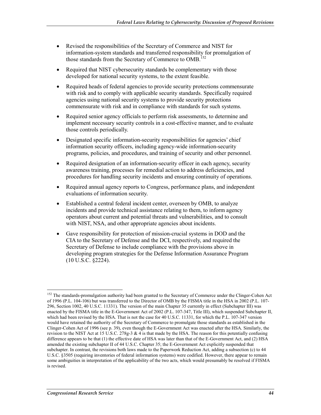- Revised the responsibilities of the Secretary of Commerce and NIST for information-system standards and transferred responsibility for promulgation of those standards from the Secretary of Commerce to OMB.<sup>152</sup>
- Required that NIST cybersecurity standards be complementary with those developed for national security systems, to the extent feasible.
- Required heads of federal agencies to provide security protections commensurate with risk and to comply with applicable security standards. Specifically required agencies using national security systems to provide security protections commensurate with risk and in compliance with standards for such systems.
- Required senior agency officials to perform risk assessments, to determine and implement necessary security controls in a cost-effective manner, and to evaluate those controls periodically.
- Designated specific information-security responsibilities for agencies' chief information security officers, including agency-wide information-security programs, policies, and procedures, and training of security and other personnel.
- Required designation of an information-security officer in each agency, security awareness training, processes for remedial action to address deficiencies, and procedures for handling security incidents and ensuring continuity of operations.
- Required annual agency reports to Congress, performance plans, and independent evaluations of information security.
- Established a central federal incident center, overseen by OMB, to analyze incidents and provide technical assistance relating to them, to inform agency operators about current and potential threats and vulnerabilities, and to consult with NIST, NSA, and other appropriate agencies about incidents.
- Gave responsibility for protection of mission-crucial systems in DOD and the CIA to the Secretary of Defense and the DCI, respectively, and required the Secretary of Defense to include compliance with the provisions above in developing program strategies for the Defense Information Assurance Program (10 U.S.C. §2224).

<u>.</u>

<sup>&</sup>lt;sup>152</sup> The standards-promulgation authority had been granted to the Secretary of Commerce under the Clinger-Cohen Act of 1996 (P.L. 104-106) but was transferred to the Director of OMB by the FISMA title in the HSA in 2002 (P.L. 107- 296, Section 1002, 40 U.S.C. 11331). The version of the main Chapter 35 currently in effect (Subchapter III) was enacted by the FISMA title in the E-Government Act of 2002 (P.L. 107-347, Title III), which suspended Subchapter II, which had been revised by the HSA. That is not the case for 40 U.S.C. 11331, for which the P.L. 107-347 version would have retained the authority of the Secretary of Commerce to promulgate those standards as established in the Clinger-Cohen Act of 1996 (see p. 39), even though the E-Government Act was enacted after the HSA. Similarly, the revision to the NIST Act at 15 U.S.C. 278g-3  $\&$  4 is that made by the HSA. The reason for this potentially confusing difference appears to be that (1) the effective date of HSA was later than that of the E-Government Act, and (2) HSA amended the existing subchapter II of 44 U.S.C. Chapter 35; the E-Government Act explicitly suspended that subchapter. In contrast, the revisions both laws made to the Paperwork Reduction Act, adding a subsection (c) to 44 U.S.C. §3505 (requiring inventories of federal information systems) were codified. However, there appear to remain some ambiguities in interpretation of the applicability of the two acts, which would presumably be resolved if FISMA is revised.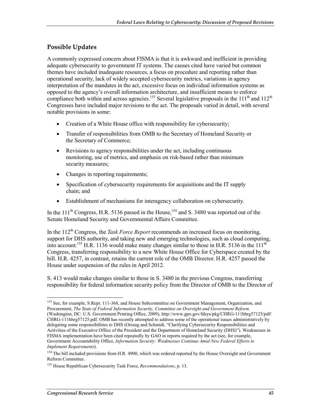#### **Possible Updates**

A commonly expressed concern about FISMA is that it is awkward and inefficient in providing adequate cybersecurity to government IT systems. The causes cited have varied but common themes have included inadequate resources, a focus on procedure and reporting rather than operational security, lack of widely accepted cybersecurity metrics, variations in agency interpretation of the mandates in the act, excessive focus on individual information systems as opposed to the agency's overall information architecture, and insufficient means to enforce compliance both within and across agencies.<sup>153</sup> Several legislative proposals in the 111<sup>th</sup> and 112<sup>th</sup> Congresses have included major revisions to the act. The proposals varied in detail, with several notable provisions in some:

- Creation of a White House office with responsibility for cybersecurity;
- Transfer of responsibilities from OMB to the Secretary of Homeland Security or the Secretary of Commerce;
- Revisions to agency responsibilities under the act, including continuous monitoring, use of metrics, and emphasis on risk-based rather than minimum security measures;
- Changes in reporting requirements;
- Specification of cybersecurity requirements for acquisitions and the IT supply chain; and
- Establishment of mechanisms for interagency collaboration on cybersecurity.

In the  $111^{th}$  Congress, H.R. 5136 passed in the House,<sup>154</sup> and S. 3480 was reported out of the Senate Homeland Security and Governmental Affairs Committee.

In the  $112<sup>th</sup>$  Congress, the *Task Force Report* recommends an increased focus on monitoring, support for DHS authority, and taking new and emerging technologies, such as cloud computing, into account.<sup>155</sup> H.R. 1136 would make many changes similar to those in H.R. 5136 in the  $111<sup>th</sup>$ Congress, transferring responsibility to a new White House Office for Cyberspace created by the bill. H.R. 4257, in contrast, retains the current role of the OMB Director. H.R. 4257 passed the House under suspension of the rules in April 2012.

S. 413 would make changes similar to those in S. 3480 in the previous Congress, transferring responsibility for federal information security policy from the Director of OMB to the Director of

1

<sup>&</sup>lt;sup>153</sup> See, for example, S.Rept. 111-368, and House Subcommittee on Government Management, Organization, and Procurement, *The State of Federal Information Security, Committee on Oversight and Government Reform* (Washington, DC: U.S. Government Printing Office, 2009), http://www.gpo.gov/fdsys/pkg/CHRG-111hhrg57125/pdf/ CHRG-111hhrg57125.pdf. OMB has recently attempted to address some of the operational issues administratively by delegating some responsibilities to DHS (Orszag and Schmidt, "Clarifying Cybersecurity Responsibilities and Activities of the Executive Office of the President and the Department of Homeland Security (DHS)"). Weaknesses in FISMA implementation have been cited repeatedly by GAO in reports required by the act (see, for example, Government Accountability Office, *Information Security: Weaknesses Continue Amid New Federal Efforts to Implement Requirements*).

<sup>&</sup>lt;sup>154</sup> The bill included provisions from H.R. 4900, which was ordered reported by the House Oversight and Government Reform Committee.

<sup>155</sup> House Republican Cybersecurity Task Force, *Recommendations*, p. 13.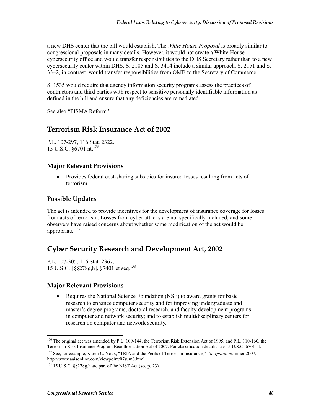a new DHS center that the bill would establish. The *White House Proposal* is broadly similar to congressional proposals in many details. However, it would not create a White House cybersecurity office and would transfer responsibilities to the DHS Secretary rather than to a new cybersecurity center within DHS. S. 2105 and S. 3414 include a similar approach. S. 2151 and S. 3342, in contrast, would transfer responsibilities from OMB to the Secretary of Commerce.

S. 1535 would require that agency information security programs assess the practices of contractors and third parties with respect to sensitive personally identifiable information as defined in the bill and ensure that any deficiencies are remediated.

See also "FISMA Reform."

## **Terrorism Risk Insurance Act of 2002**

P.L. 107-297, 116 Stat. 2322. 15 U.S.C. §6701 nt.156

#### **Major Relevant Provisions**

• Provides federal cost-sharing subsidies for insured losses resulting from acts of terrorism.

#### **Possible Updates**

The act is intended to provide incentives for the development of insurance coverage for losses from acts of terrorism. Losses from cyber attacks are not specifically included, and some observers have raised concerns about whether some modification of the act would be appropriate.<sup>157</sup>

## **Cyber Security Research and Development Act, 2002**

P.L. 107-305, 116 Stat. 2367, 15 U.S.C. [§§278g,h], §7401 et seq.158

#### **Major Relevant Provisions**

• Requires the National Science Foundation (NSF) to award grants for basic research to enhance computer security and for improving undergraduate and master's degree programs, doctoral research, and faculty development programs in computer and network security; and to establish multidisciplinary centers for research on computer and network security.

1

<sup>&</sup>lt;sup>156</sup> The original act was amended by P.L. 109-144, the Terrorism Risk Extension Act of 1995, and P.L. 110-160, the Terrorism Risk Insurance Program Reauthorization Act of 2007. For classification details, see 15 U.S.C. 6701 nt.

<sup>157</sup> See, for example, Karen C. Yotis, "TRIA and the Perils of Terrorism Insurance," *Viewpoint*, Summer 2007, http://www.aaisonline.com/viewpoint/07sum6.html.

<sup>158 15</sup> U.S.C. §§278g,h are part of the NIST Act (see p. 23).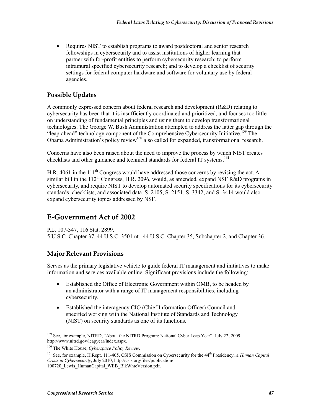• Requires NIST to establish programs to award postdoctoral and senior research fellowships in cybersecurity and to assist institutions of higher learning that partner with for-profit entities to perform cybersecurity research; to perform intramural specified cybersecurity research; and to develop a checklist of security settings for federal computer hardware and software for voluntary use by federal agencies.

#### **Possible Updates**

A commonly expressed concern about federal research and development (R&D) relating to cybersecurity has been that it is insufficiently coordinated and prioritized, and focuses too little on understanding of fundamental principles and using them to develop transformational technologies. The George W. Bush Administration attempted to address the latter gap through the "leap-ahead" technology component of the Comprehensive Cybersecurity Initiative.<sup>159</sup> The Obama Administration's policy review<sup>160</sup> also called for expanded, transformational research.

Concerns have also been raised about the need to improve the process by which NIST creates checklists and other guidance and technical standards for federal IT systems.<sup>161</sup>

H.R. 4061 in the  $111<sup>th</sup>$  Congress would have addressed those concerns by revising the act. A similar bill in the 112<sup>th</sup> Congress, H.R. 2096, would, as amended, expand NSF R&D programs in cybersecurity, and require NIST to develop automated security specifications for its cybersecurity standards, checklists, and associated data. S. 2105, S. 2151, S. 3342, and S. 3414 would also expand cybersecurity topics addressed by NSF.

## **E-Government Act of 2002**

P.L. 107-347, 116 Stat. 2899.

5 U.S.C. Chapter 37, 44 U.S.C. 3501 nt., 44 U.S.C. Chapter 35, Subchapter 2, and Chapter 36.

#### **Major Relevant Provisions**

Serves as the primary legislative vehicle to guide federal IT management and initiatives to make information and services available online. Significant provisions include the following:

- Established the Office of Electronic Government within OMB, to be headed by an administrator with a range of IT management responsibilities, including cybersecurity.
- Established the interagency CIO (Chief Information Officer) Council and specified working with the National Institute of Standards and Technology (NIST) on security standards as one of its functions.

<sup>1</sup> <sup>159</sup> See, for example, NITRD, "About the NITRD Program: National Cyber Leap Year", July 22, 2009, http://www.nitrd.gov/leapyear/index.aspx.

<sup>160</sup> The White House, *Cyberspace Policy Review*.

<sup>161</sup> See, for example, H.Rept. 111-405, CSIS Commission on Cybersecurity for the 44th Presidency, *A Human Capital Crisis in Cybersecurity*, July 2010, http://csis.org/files/publication/ 100720 Lewis HumanCapital WEB BlkWhteVersion.pdf.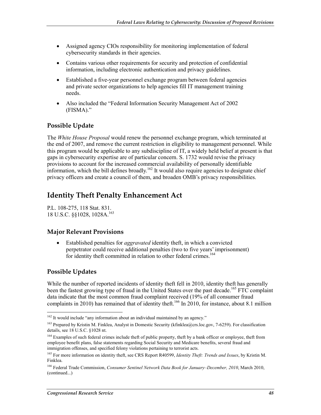- Assigned agency CIOs responsibility for monitoring implementation of federal cybersecurity standards in their agencies.
- Contains various other requirements for security and protection of confidential information, including electronic authentication and privacy guidelines.
- Established a five-year personnel exchange program between federal agencies and private sector organizations to help agencies fill IT management training needs.
- Also included the "Federal Information Security Management Act of 2002 (FISMA)."

#### **Possible Update**

The *White House Proposal* would renew the personnel exchange program, which terminated at the end of 2007, and remove the current restriction in eligibility to management personnel. While this program would be applicable to any subdiscipline of IT, a widely held belief at present is that gaps in cybersecurity expertise are of particular concern. S. 1732 would revise the privacy provisions to account for the increased commercial availability of personally identifiable information, which the bill defines broadly.<sup>162</sup> It would also require agencies to designate chief privacy officers and create a council of them, and broaden OMB's privacy responsibilities.

# **Identity Theft Penalty Enhancement Act**

P.L. 108-275, 118 Stat. 831. 18 U.S.C. §§1028, 1028A.163

#### **Major Relevant Provisions**

• Established penalties for *aggravated* identity theft, in which a convicted perpetrator could receive additional penalties (two to five years' imprisonment) for identity theft committed in relation to other federal crimes.<sup>164</sup>

#### **Possible Updates**

1

While the number of reported incidents of identity theft fell in 2010, identity theft has generally been the fastest growing type of fraud in the United States over the past decade.<sup>165</sup> FTC complaint data indicate that the most common fraud complaint received (19% of all consumer fraud complaints in 2010) has remained that of identity theft.<sup>166</sup> In 2010, for instance, about 8.1 million

 $162$  It would include "any information about an individual maintained by an agency."

<sup>&</sup>lt;sup>163</sup> Prepared by Kristin M. Finklea, Analyst in Domestic Security (kfinklea@crs.loc.gov, 7-6259). For classification details, see 18 U.S.C. §1028 nt.

<sup>&</sup>lt;sup>164</sup> Examples of such federal crimes include theft of public property, theft by a bank officer or employee, theft from employee benefit plans, false statements regarding Social Security and Medicare benefits, several fraud and immigration offenses, and specified felony violations pertaining to terrorist acts.

<sup>165</sup> For more information on identity theft, see CRS Report R40599, *Identity Theft: Trends and Issues*, by Kristin M. Finklea.

<sup>166</sup> Federal Trade Commission, *Consumer Sentinel Network Data Book for January–December, 2010*, March 2010, (continued...)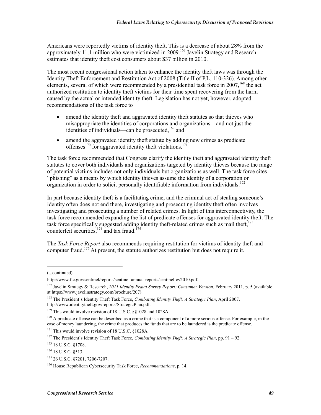Americans were reportedly victims of identity theft. This is a decrease of about 28% from the approximately 11.1 million who were victimized in 2009.<sup>167</sup> Javelin Strategy and Research estimates that identity theft cost consumers about \$37 billion in 2010.

The most recent congressional action taken to enhance the identity theft laws was through the Identity Theft Enforcement and Restitution Act of 2008 (Title II of P.L. 110-326). Among other elements, several of which were recommended by a presidential task force in  $2007$ ,<sup>168</sup>, the act authorized restitution to identity theft victims for their time spent recovering from the harm caused by the actual or intended identity theft. Legislation has not yet, however, adopted recommendations of the task force to

- amend the identity theft and aggravated identity theft statutes so that thieves who misappropriate the identities of corporations and organizations—and not just the identities of individuals—can be prosecuted, $169$  and
- amend the aggravated identity theft statute by adding new crimes as predicate offenses<sup>170</sup> for aggravated identity theft violations.<sup>171</sup>

The task force recommended that Congress clarify the identity theft and aggravated identity theft statutes to cover both individuals and organizations targeted by identity thieves because the range of potential victims includes not only individuals but organizations as well. The task force cites "phishing" as a means by which identity thieves assume the identity of a corporation or organization in order to solicit personally identifiable information from individuals.<sup>172</sup>

In part because identity theft is a facilitating crime, and the criminal act of stealing someone's identity often does not end there, investigating and prosecuting identity theft often involves investigating and prosecuting a number of related crimes. In light of this interconnectivity, the task force recommended expanding the list of predicate offenses for aggravated identity theft. The task force specifically suggested adding identity theft-related crimes such as mail theft, $173$ counterfeit securities,<sup>174</sup> and tax fraud.<sup>175</sup>

The *Task Force Report* also recommends requiring restitution for victims of identity theft and computer fraud.<sup>176</sup> At present, the statute authorizes restitution but does not require it.

1

<sup>171</sup> This would involve revision of 18 U.S.C. §1028A.

<sup>(...</sup>continued)

http://www.ftc.gov/sentinel/reports/sentinel-annual-reports/sentinel-cy2010.pdf.

<sup>167</sup> Javelin Strategy & Research, *2011 Identity Fraud Survey Report: Consumer Version*, February 2011, p. 5 (available at https://www.javelinstrategy.com/brochure/207).

<sup>168</sup> The President's Identity Theft Task Force, *Combating Identity Theft: A Strategic Plan*, April 2007, http://www.identitytheft.gov/reports/StrategicPlan.pdf.

<sup>&</sup>lt;sup>169</sup> This would involve revision of 18 U.S.C. §§1028 and 1028A.

<sup>&</sup>lt;sup>170</sup> A predicate offense can be described as a crime that is a component of a more serious offense. For example, in the case of money laundering, the crime that produces the funds that are to be laundered is the predicate offense.

<sup>172</sup> The President's Identity Theft Task Force, *Combating Identity Theft: A Strategic Plan*, pp. 91 – 92.

<sup>173 18</sup> U.S.C. §1708.

<sup>174 18</sup> U.S.C. §513.

<sup>175 26</sup> U.S.C. §7201, 7206-7207.

<sup>176</sup> House Republican Cybersecurity Task Force, *Recommendations*, p. 14.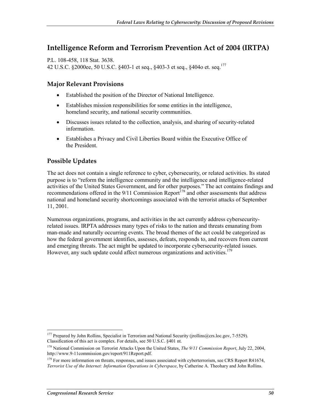## **Intelligence Reform and Terrorism Prevention Act of 2004 (IRTPA)**

P.L. 108-458, 118 Stat. 3638. 42 U.S.C. §2000ee, 50 U.S.C. §403-1 et seq., §403-3 et seq., §404o et. seq.177

#### **Major Relevant Provisions**

- Established the position of the Director of National Intelligence.
- Establishes mission responsibilities for some entities in the intelligence, homeland security, and national security communities.
- Discusses issues related to the collection, analysis, and sharing of security-related information.
- Establishes a Privacy and Civil Liberties Board within the Executive Office of the President.

#### **Possible Updates**

The act does not contain a single reference to cyber, cybersecurity, or related activities. Its stated purpose is to "reform the intelligence community and the intelligence and intelligence-related activities of the United States Government, and for other purposes." The act contains findings and recommendations offered in the 9/11 Commission Report<sup>178</sup> and other assessments that address national and homeland security shortcomings associated with the terrorist attacks of September 11, 2001.

Numerous organizations, programs, and activities in the act currently address cybersecurityrelated issues. IRPTA addresses many types of risks to the nation and threats emanating from man-made and naturally occurring events. The broad themes of the act could be categorized as how the federal government identifies, assesses, defeats, responds to, and recovers from current and emerging threats. The act might be updated to incorporate cybersecurity-related issues. However, any such update could affect numerous organizations and activities.<sup>179</sup>

<sup>1</sup> <sup>177</sup> Prepared by John Rollins, Specialist in Terrorism and National Security (jrollins@crs.loc.gov, 7-5529). Classification of this act is complex. For details, see 50 U.S.C. §401 nt.

<sup>178</sup> National Commission on Terrorist Attacks Upon the United States, *The 9/11 Commission Report*, July 22, 2004, http://www.9-11commission.gov/report/911Report.pdf.

<sup>&</sup>lt;sup>179</sup> For more information on threats, responses, and issues associated with cyberterrorism, see CRS Report R41674, *Terrorist Use of the Internet: Information Operations in Cyberspace*, by Catherine A. Theohary and John Rollins.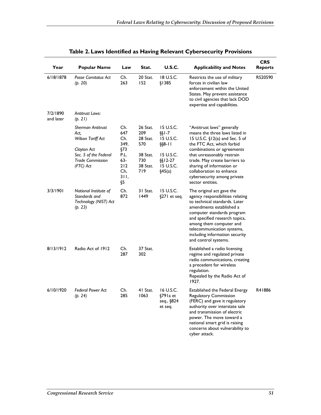| Year                  | <b>Popular Name</b>                                                                           | Law                                      | Stat.                                          | <b>U.S.C.</b>                                                 | <b>Applicability and Notes</b>                                                                                                                                                                                                                                                                                | CRS<br><b>Reports</b> |
|-----------------------|-----------------------------------------------------------------------------------------------|------------------------------------------|------------------------------------------------|---------------------------------------------------------------|---------------------------------------------------------------------------------------------------------------------------------------------------------------------------------------------------------------------------------------------------------------------------------------------------------------|-----------------------|
| 6/18/1878             | Posse Comitatus Act<br>(p. 20)                                                                | Ch.<br>263                               | 20 Stat.<br>152                                | 18 U.S.C.<br>§1385                                            | Restricts the use of military<br>forces in civilian law<br>enforcement within the United<br>States. May prevent assistance<br>to civil agencies that lack DOD<br>expertise and capabilities.                                                                                                                  | RS20590               |
| 7/2/1890<br>and later | <b>Antitrust Laws:</b><br>(p. 21)                                                             |                                          |                                                |                                                               |                                                                                                                                                                                                                                                                                                               |                       |
|                       | <b>Sherman Antitrust</b><br>Act.<br>Wilson Tariff Act<br>Clayton Act<br>Sec. 5 of the Federal | Ch.<br>647<br>Ch.<br>349,<br>§73<br>P.L. | 26 Stat.<br>209<br>28 Stat.<br>570<br>38 Stat. | 15 U.S.C.<br>$\S$ [-7<br>15 U.S.C.<br>$\S$ §8-11<br>15 U.S.C. | "Antitrust laws" generally<br>means the three laws listed in<br>15 U.S.C. §12(a) and Sec. 5 of<br>the FTC Act, which forbid<br>combinations or agreements<br>that unreasonably restrain                                                                                                                       |                       |
|                       | <b>Trade Commission</b><br>(FTC) Act                                                          | 63-<br>212<br>Ch.<br>31I,<br>Ş5          | 730<br>38 Stat.<br>719                         | $\S$ [2-27]<br>15 U.S.C.<br>§45(a)                            | trade. May create barriers to<br>sharing of information or<br>collaboration to enhance<br>cybersecurity among private<br>sector entities.                                                                                                                                                                     |                       |
| 3/3/1901              | National Institute of<br>Standards and<br>Technology (NIST) Act<br>(p. 23)                    | Ch.<br>872                               | 31 Stat.<br>1449                               | 15 U.S.C.<br>§271 et seq.                                     | The original act gave the<br>agency responsibilities relating<br>to technical standards. Later<br>amendments established a<br>computer standards program<br>and specified research topics,<br>among them computer and<br>telecommunication systems,<br>including information security<br>and control systems. |                       |
| 8/13/1912             | Radio Act of 1912                                                                             | Ch.<br>287                               | 37 Stat.<br>302                                |                                                               | Established a radio licensing<br>regime and regulated private<br>radio communications, creating<br>a precedent for wireless<br>regulation.<br>Repealed by the Radio Act of<br>1927.                                                                                                                           |                       |
| 6/10/1920             | <b>Federal Power Act</b><br>(p. 24)                                                           | Ch.<br>285                               | 41 Stat.<br>1063                               | 16 U.S.C.<br>§791a et<br>seq., §824<br>et seq.                | Established the Federal Energy<br><b>Regulatory Commission</b><br>(FERC) and gave it regulatory<br>authority over interstate sale<br>and transmission of electric<br>power. The move toward a<br>national smart grid is raising<br>concerns about vulnerability to<br>cyber attack.                           | R41886                |

|  |  |  |  | Table 2. Laws Identified as Having Relevant Cybersecurity Provisions |
|--|--|--|--|----------------------------------------------------------------------|
|--|--|--|--|----------------------------------------------------------------------|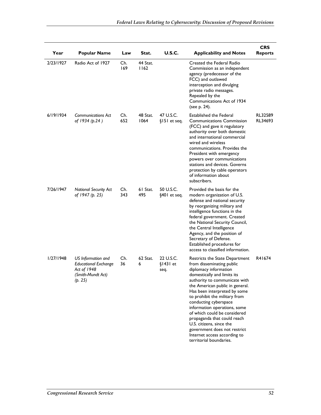| Year      | <b>Popular Name</b>                                                                              | Law        | Stat.            | <b>U.S.C.</b>                   | <b>Applicability and Notes</b>                                                                                                                                                                                                                                                                                                                                                                                                                                                                          | <b>CRS</b><br><b>Reports</b> |
|-----------|--------------------------------------------------------------------------------------------------|------------|------------------|---------------------------------|---------------------------------------------------------------------------------------------------------------------------------------------------------------------------------------------------------------------------------------------------------------------------------------------------------------------------------------------------------------------------------------------------------------------------------------------------------------------------------------------------------|------------------------------|
| 2/23/1927 | Radio Act of 1927                                                                                | Ch.<br>169 | 44 Stat.<br>1162 |                                 | Created the Federal Radio<br>Commission as an independent<br>agency (predecessor of the<br>FCC) and outlawed<br>interception and divulging<br>private radio messages.<br>Repealed by the<br>Communications Act of 1934<br>(see p. 24).                                                                                                                                                                                                                                                                  |                              |
| 6/19/1934 | Communications Act<br>of 1934 (p.24)                                                             | Ch.<br>652 | 48 Stat.<br>1064 | 47 U.S.C.<br>§151 et seq.       | Established the Federal<br><b>Communications Commission</b><br>(FCC) and gave it regulatory<br>authority over both domestic<br>and international commercial<br>wired and wireless<br>communications. Provides the<br>President with emergency<br>powers over communications<br>stations and devices. Governs<br>protection by cable operators<br>of information about<br>subscribers.                                                                                                                   | RL32589<br>RL34693           |
| 7/26/1947 | <b>National Security Act</b><br>of 1947 (p. 25)                                                  | Ch.<br>343 | 61 Stat.<br>495  | 50 U.S.C.<br>§401 et seq.       | Provided the basis for the<br>modern organization of U.S.<br>defense and national security<br>by reorganizing military and<br>intelligence functions in the<br>federal government. Created<br>the National Security Council,<br>the Central Intelligence<br>Agency, and the position of<br>Secretary of Defense.<br>Established procedures for<br>access to classified information.                                                                                                                     |                              |
| 1/27/1948 | US Information and<br><b>Educational Exchange</b><br>Act of 1948<br>(Smith-Mundt Act)<br>(p. 25) | Ch.<br>36  | $62$ Stat.<br>6  | 22 U.S.C.<br>$$1431$ et<br>seq. | Restricts the State Department<br>from disseminating public<br>diplomacy information<br>domestically and limits its<br>authority to communicate with<br>the American public in general.<br>Has been interpreted by some<br>to prohibit the military from<br>conducting cyberspace<br>information operations, some<br>of which could be considered<br>propaganda that could reach<br>U.S. citizens, since the<br>government does not restrict<br>Internet access according to<br>territorial boundaries. | R41674                       |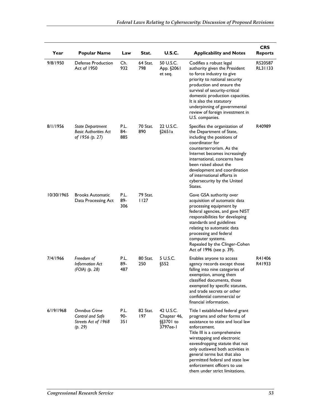| Year       | <b>Popular Name</b>                                                        | Law                | Stat.            | <b>U.S.C.</b>                                       | <b>Applicability and Notes</b>                                                                                                                                                                                                                                                                                                                                                               | <b>CRS</b><br><b>Reports</b> |
|------------|----------------------------------------------------------------------------|--------------------|------------------|-----------------------------------------------------|----------------------------------------------------------------------------------------------------------------------------------------------------------------------------------------------------------------------------------------------------------------------------------------------------------------------------------------------------------------------------------------------|------------------------------|
| 9/8/1950   | <b>Defense Production</b><br>Act of 1950                                   | Ch.<br>932         | 64 Stat.<br>798  | 50 U.S.C.<br>App. §2061<br>et seq.                  | Codifies a robust legal<br>authority given the President<br>to force industry to give<br>priority to national security<br>production and ensure the<br>survival of security-critical<br>domestic production capacities.<br>It is also the statutory<br>underpinning of governmental<br>review of foreign investment in<br>U.S. companies.                                                    | RS20587<br>RL31133           |
| 8/1/1956   | <b>State Department</b><br><b>Basic Authorities Act</b><br>of 1956 (p. 27) | P.L.<br>84-<br>885 | 70 Stat.<br>890  | 22 U.S.C.<br>§265 I a                               | Specifies the organization of<br>the Department of State,<br>including the positions of<br>coordinator for<br>counterterrorism. As the<br>Internet becomes increasingly<br>international, concerns have<br>been raised about the<br>development and coordination<br>of international efforts in<br>cybersecurity by the United<br>States.                                                    | R40989                       |
| 10/30/1965 | <b>Brooks Automatic</b><br>Data Processing Act                             | P.L.<br>89-<br>306 | 79 Stat.<br>1127 |                                                     | Gave GSA authority over<br>acquisition of automatic data<br>processing equipment by<br>federal agencies, and gave NIST<br>responsibilities for developing<br>standards and guidelines<br>relating to automatic data<br>processing and federal<br>computer systems.<br>Repealed by the Clinger-Cohen<br>Act of 1996 (see p. 39).                                                              |                              |
| 7/4/1966   | Freedom of<br><b>Information Act</b><br>$(FOIA)$ $(p. 28)$                 | P.L.<br>89-<br>487 | 80 Stat.<br>250  | 5 U.S.C.<br>§552                                    | Enables anyone to access<br>agency records except those<br>falling into nine categories of<br>exemption, among them<br>classified documents, those<br>exempted by specific statutes,<br>and trade secrets or other<br>confidential commercial or<br>financial information.                                                                                                                   | R41406<br>R41933             |
| 6/19/1968  | Omnibus Crime<br>Control and Safe<br>Streets Act of 1968<br>(p. 29)        | P.L.<br>90-<br>351 | 82 Stat.<br>197  | 42 U.S.C.<br>Chapter 46,<br>$\S$ 370 to<br>3797ee-1 | Title I established federal grant<br>programs and other forms of<br>assistance to state and local law<br>enforcement.<br>Title III is a comprehensive<br>wiretapping and electronic<br>eavesdropping statute that not<br>only outlawed both activities in<br>general terms but that also<br>permitted federal and state law<br>enforcement officers to use<br>them under strict limitations. |                              |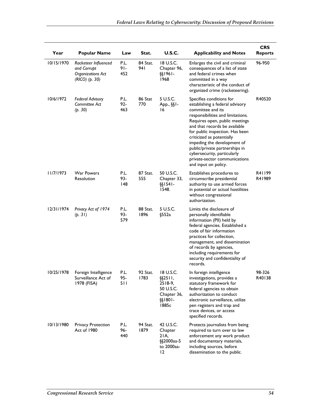| Year       | <b>Popular Name</b>                                                          | Law                   | Stat.            | <b>U.S.C.</b>                                                                        | <b>Applicability and Notes</b>                                                                                                                                                                                                                                                                                                                                                                                    | <b>CRS</b><br><b>Reports</b> |
|------------|------------------------------------------------------------------------------|-----------------------|------------------|--------------------------------------------------------------------------------------|-------------------------------------------------------------------------------------------------------------------------------------------------------------------------------------------------------------------------------------------------------------------------------------------------------------------------------------------------------------------------------------------------------------------|------------------------------|
| 10/15/1970 | Racketeer Influenced<br>and Corrupt<br>Organizations Act<br>$(RICO)$ (p. 30) | P.L.<br>$91-$<br>452  | 84 Stat.<br>94 I | 18 U.S.C.<br>Chapter 96,<br>§§1961-<br>1968                                          | Enlarges the civil and criminal<br>consequences of a list of state<br>and federal crimes when<br>committed in a way<br>characteristic of the conduct of<br>organized crime (racketeering).                                                                                                                                                                                                                        | 96-950                       |
| 10/6/1972  | <b>Federal Advisory</b><br>Committee Act<br>(p. 30)                          | P.L.<br>$92 -$<br>463 | 86 Stat<br>770   | 5 U.S.C.<br>App., §§1-<br>16                                                         | Specifies conditions for<br>establishing a federal advisory<br>committee and its<br>responsibilities and limitations.<br>Requires open, public meetings<br>and that records be available<br>for public inspection. Has been<br>criticized as potentially<br>impeding the development of<br>public/private partnerships in<br>cybersecurity, particularly<br>private-sector communications<br>and input on policy. | R40520                       |
| 11/7/1973  | <b>War Powers</b><br>Resolution                                              | P.L.<br>93-<br>148    | 87 Stat.<br>555  | 50 U.S.C.<br>Chapter 33,<br>$§§$ 1541-<br>1548.                                      | Establishes procedures to<br>circumscribe presidential<br>authority to use armed forces<br>in potential or actual hostilities<br>without congressional<br>authorization.                                                                                                                                                                                                                                          | R41199<br>R41989             |
| 12/31/1974 | Privacy Act of 1974<br>(p. 31)                                               | P.L.<br>93-<br>579    | 88 Stat.<br>1896 | 5 U.S.C.<br>§552a                                                                    | Limits the disclosure of<br>personally identifiable<br>information (PII) held by<br>federal agencies. Established a<br>code of fair information<br>practices for collection,<br>management, and dissemination<br>of records by agencies,<br>including requirements for<br>security and confidentiality of<br>records.                                                                                             |                              |
| 10/25/1978 | Foreign Intelligence<br>Surveillance Act of<br>1978 (FISA)                   | P.L.<br>95-<br>511    | 92 Stat.<br>1783 | 18 U.S.C.<br>$\S$ \$2511,<br>2518-9,<br>50 U.S.C.<br>Chapter 36,<br>§§1801-<br>1885c | In foreign intelligence<br>investigations, provides a<br>statutory framework for<br>federal agencies to obtain<br>authorization to conduct<br>electronic surveillance, utilize<br>pen registers and trap and<br>trace devices, or access<br>specified records.                                                                                                                                                    | 98-326<br>R40138             |
| 10/13/1980 | <b>Privacy Protection</b><br>Act of 1980                                     | P.L.<br>96-<br>440    | 94 Stat.<br>1879 | 42 U.S.C.<br>Chapter<br>21A,<br>§§2000aa-5<br>to 2000aa-<br>12                       | Protects journalists from being<br>required to turn over to law<br>enforcement any work product<br>and documentary materials,<br>including sources, before<br>dissemination to the public.                                                                                                                                                                                                                        |                              |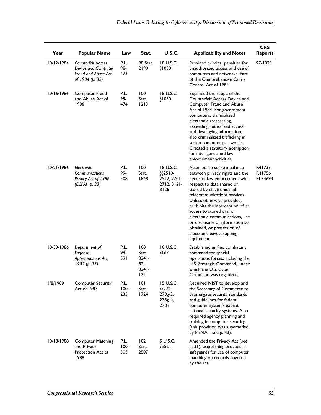| Year       | <b>Popular Name</b>                                                                 | Law                    | Stat.                                              | <b>U.S.C.</b>                                                | <b>Applicability and Notes</b>                                                                                                                                                                                                                                                                                                                                                                                                      | <b>CRS</b><br><b>Reports</b> |
|------------|-------------------------------------------------------------------------------------|------------------------|----------------------------------------------------|--------------------------------------------------------------|-------------------------------------------------------------------------------------------------------------------------------------------------------------------------------------------------------------------------------------------------------------------------------------------------------------------------------------------------------------------------------------------------------------------------------------|------------------------------|
| 10/12/1984 | Counterfeit Access<br>Device and Computer<br>Fraud and Abuse Act<br>of 1984 (p. 32) | P.L.<br>98-<br>473     | 98 Stat.<br>2190                                   | 18 U.S.C.<br>\$1030                                          | Provided criminal penalties for<br>unauthorized access and use of<br>computers and networks. Part<br>of the Comprehensive Crime<br>Control Act of 1984.                                                                                                                                                                                                                                                                             | 97-1025                      |
| 10/16/1986 | Computer Fraud<br>and Abuse Act of<br>1986                                          | P.L.<br>99-<br>474     | 100<br>Stat.<br>$1213$                             | 18 U.S.C.<br>\$1030                                          | Expanded the scope of the<br>Counterfeit Access Device and<br>Computer Fraud and Abuse<br>Act of 1984. For government<br>computers, criminalized<br>electronic trespassing,<br>exceeding authorized access,<br>and destroying information;<br>also criminalized trafficking in<br>stolen computer passwords.<br>Created a statutory exemption<br>for intelligence and law<br>enforcement activities.                                |                              |
| 10/21/1986 | Electronic<br>Communications<br>Privacy Act of 1986<br>(ECPA) (p. 33)               | P.L.<br>99-<br>508     | 100<br>Stat.<br>1848                               | 18 U.S.C.<br>$§$ §2510-<br>2522, 2701-<br>2712, 3121<br>3126 | Attempts to strike a balance<br>between privacy rights and the<br>needs of law enforcement with<br>respect to data shared or<br>stored by electronic and<br>telecommunications services.<br>Unless otherwise provided,<br>prohibits the interception of or<br>access to stored oral or<br>electronic communications, use<br>or disclosure of information so<br>obtained, or possession of<br>electronic eavesdropping<br>equipment. | R41733<br>R41756<br>RL34693  |
| 10/30/1986 | Department of<br>Defense<br>Appropriations Act,<br>1987(p. 35)                      | P.L.<br>99-<br>591     | 100<br>Stat.<br>$3341 -$<br>82,<br>$3341 -$<br>122 | 10 U.S.C.<br>\$167                                           | Established unified combatant<br>command for special<br>operations forces, including the<br>U.S. Strategic Command, under<br>which the U.S. Cyber<br>Command was organized.                                                                                                                                                                                                                                                         |                              |
| 1/8/1988   | <b>Computer Security</b><br>Act of 1987                                             | P.L.<br>$100 -$<br>235 | 101<br>Stat.<br>1724                               | 15 U.S.C.<br>$\S$ \$272,<br>278g-3,<br>278g-4,<br>278h       | Required NIST to develop and<br>the Secretary of Commerce to<br>promulgate security standards<br>and guidelines for federal<br>computer systems except<br>national security systems. Also<br>required agency planning and<br>training in computer security<br>(this provision was superseded<br>by FISMA-see p. 43).                                                                                                                |                              |
| 10/18/1988 | <b>Computer Matching</b><br>and Privacy<br>Protection Act of<br>1988                | P.L.<br>$100 -$<br>503 | 102<br>Stat.<br>2507                               | 5 U.S.C.<br>§552a                                            | Amended the Privacy Act (see<br>p. 31), establishing procedural<br>safeguards for use of computer<br>matching on records covered<br>by the act.                                                                                                                                                                                                                                                                                     |                              |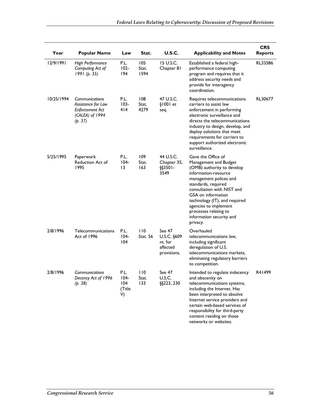| Year       | <b>Popular Name</b>                                                                                 | Law                                    | Stat.                  | U.S.C.                                                      | <b>Applicability and Notes</b>                                                                                                                                                                                                                                                                                                    | <b>CRS</b><br><b>Reports</b> |
|------------|-----------------------------------------------------------------------------------------------------|----------------------------------------|------------------------|-------------------------------------------------------------|-----------------------------------------------------------------------------------------------------------------------------------------------------------------------------------------------------------------------------------------------------------------------------------------------------------------------------------|------------------------------|
| 12/9/1991  | High Performance<br>Computing Act of<br>1991(p. 35)                                                 | P.L.<br>$102 -$<br>194                 | 105<br>Stat.<br>1594   | 15 U.S.C.<br>Chapter 81                                     | Established a federal high-<br>performance computing<br>program and requires that it<br>address security needs and<br>provide for interagency<br>coordination.                                                                                                                                                                    | RL33586                      |
| 10/25/1994 | <b>Communications</b><br>Assistance for Law<br><b>Enforcement Act</b><br>(CALEA) of 1994<br>(p. 37) | P.L.<br>$103 -$<br>414                 | 108<br>Stat.<br>4279   | 47 U.S.C.<br>$$1001$ et<br>seq.                             | Requires telecommunications<br>carriers to assist law<br>enforcement in performing<br>electronic surveillance and<br>directs the telecommunications<br>industry to design, develop, and<br>deploy solutions that meet<br>requirements for carriers to<br>support authorized electronic<br>surveillance.                           | RL30677                      |
| 5/25/1995  | Paperwork<br>Reduction Act of<br>1995                                                               | P.L.<br>$104 -$<br>13                  | 109<br>Stat.<br>163    | 44 U.S.C.<br>Chapter 35,<br>$\S$ \$3501-<br>3549            | Gave the Office of<br>Management and Budget<br>(OMB) authority to develop<br>information-resource<br>management polices and<br>standards, required<br>consultation with NIST and<br>GSA on information<br>technology (IT), and required<br>agencies to implement<br>processes relating to<br>information security and<br>privacy. |                              |
| 2/8/1996   | Telecommunications<br>Act of 1996                                                                   | P.L.<br>$104 -$<br>104                 | 110<br><b>Stat. 56</b> | See 47<br>U.S.C. §609<br>nt. for<br>affected<br>provisions. | Overhauled<br>telecommunications law,<br>including significant<br>deregulation of U.S.<br>telecommunications markets,<br>eliminating regulatory barriers<br>to competition.                                                                                                                                                       |                              |
| 2/8/1996   | Communications<br>Decency Act of 1996<br>(p. 38)                                                    | P.L.<br>$104 -$<br>104<br>(Title<br>V) | 110<br>Stat.<br>133    | See 47<br>U.S.C.<br>§§223, 230                              | Intended to regulate indecency<br>and obscenity on<br>telecommunications systems,<br>including the Internet. Has<br>been interpreted to absolve<br>Internet service providers and<br>certain web-based services of<br>responsibility for third-party<br>content residing on those<br>networks or websites.                        | R41499                       |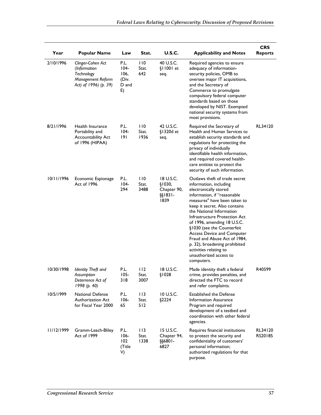| Year       | <b>Popular Name</b>                                                                           | Law                                             | Stat.                | <b>U.S.C.</b>                                              | <b>Applicability and Notes</b>                                                                                                                                                                                                                                                                                                                                                                                                                                                     | <b>CRS</b><br><b>Reports</b> |
|------------|-----------------------------------------------------------------------------------------------|-------------------------------------------------|----------------------|------------------------------------------------------------|------------------------------------------------------------------------------------------------------------------------------------------------------------------------------------------------------------------------------------------------------------------------------------------------------------------------------------------------------------------------------------------------------------------------------------------------------------------------------------|------------------------------|
| 2/10/1996  | Clinger-Cohen Act<br>(Information<br>Technology<br>Management Reform<br>Act) of 1996) (p. 39) | P.L.<br>$104 -$<br>106.<br>(Div.<br>D and<br>E) | 110<br>Stat.<br>642  | 40 U.S.C.<br>$$11001$ et<br>seq.                           | Required agencies to ensure<br>adequacy of information-<br>security policies, OMB to<br>oversee major IT acquisitions,<br>and the Secretary of<br>Commerce to promulgate<br>compulsory federal computer<br>standards based on those<br>developed by NIST. Exempted<br>national security systems from<br>most provisions.                                                                                                                                                           |                              |
| 8/21/1996  | Health Insurance<br>Portability and<br>Accountability Act<br>of 1996 (HIPAA)                  | P.L.<br>$104 -$<br>191                          | 110<br>Stat.<br>1936 | 42 U.S.C.<br>§1320d et<br>seq.                             | Required the Secretary of<br>Health and Human Services to<br>establish security standards and<br>regulations for protecting the<br>privacy of individually<br>identifiable health information,<br>and required covered health-<br>care entities to protect the<br>security of such information.                                                                                                                                                                                    | RL34120                      |
| 10/11/1996 | Economic Espionage<br>Act of 1996                                                             | P.L.<br>$104 -$<br>294                          | 110<br>Stat.<br>3488 | 18 U.S.C.<br>\$1030,<br>Chapter 90,<br>$\S$ [1831-<br>1839 | Outlaws theft of trade secret<br>information, including<br>electronically stored<br>information, if "reasonable<br>measures" have been taken to<br>keep it secret. Also contains<br>the National Information<br>Infrastructure Protection Act<br>of 1996, amending 18 U.S.C.<br>§1030 (see the Counterfeit<br><b>Access Device and Computer</b><br>Fraud and Abuse Act of 1984,<br>p. 32), broadening prohibited<br>activities relating to<br>unauthorized access to<br>computers. |                              |
| 10/30/1998 | <b>Identity Theft and</b><br>Assumption<br>Deterrence Act of<br>1998 (p. 40)                  | P.L.<br>$105 -$<br>318                          | 112<br>Stat.<br>3007 | 18 U.S.C.<br>\$1028                                        | Made identity theft a federal<br>crime, provides penalties, and<br>directed the FTC to record<br>and refer complaints.                                                                                                                                                                                                                                                                                                                                                             | R40599                       |
| 10/5/1999  | <b>National Defense</b><br>Authorization Act<br>for Fiscal Year 2000                          | P.L.<br>$106 -$<br>65                           | 113<br>Stat.<br>512  | 10 U.S.C.<br>\$2224                                        | <b>Established the Defense</b><br>Information Assurance<br>Program and required<br>development of a testbed and<br>coordination with other federal<br>agencies.                                                                                                                                                                                                                                                                                                                    |                              |
| 11/12/1999 | Gramm-Leach-Bliley<br>Act of 1999                                                             | P.L.<br>$106 -$<br>102<br>(Title<br>V)          | 113<br>Stat.<br>1338 | 15 U.S.C.<br>Chapter 94,<br>§§6801-<br>6827                | Requires financial institutions<br>to protect the security and<br>confidentiality of customers'<br>personal information;<br>authorized regulations for that<br>purpose.                                                                                                                                                                                                                                                                                                            | RL34120<br>RS20185           |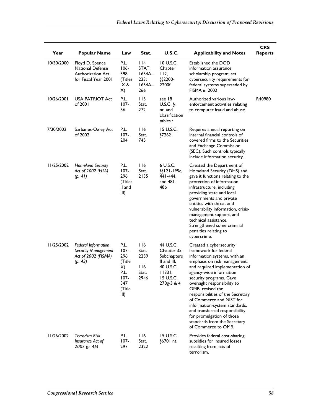| Year       | <b>Popular Name</b>                                                                 | Law                                                                             | Stat.                                             | <b>U.S.C.</b>                                                                                            | <b>Applicability and Notes</b>                                                                                                                                                                                                                                                                                                                                                                                                                                                      | <b>CRS</b><br><b>Reports</b> |
|------------|-------------------------------------------------------------------------------------|---------------------------------------------------------------------------------|---------------------------------------------------|----------------------------------------------------------------------------------------------------------|-------------------------------------------------------------------------------------------------------------------------------------------------------------------------------------------------------------------------------------------------------------------------------------------------------------------------------------------------------------------------------------------------------------------------------------------------------------------------------------|------------------------------|
| 10/30/2000 | Floyd D. Spence<br>National Defense<br>Authorization Act<br>for Fiscal Year 2001    | P.L.<br>$106 -$<br>398<br>(Titles<br>IX &<br>X)                                 | 114<br>STAT.<br>1654A-<br>233;<br>$1654A-$<br>266 | 10 U.S.C.<br>Chapter<br>112,<br>§§2200-<br>2200f                                                         | Established the DOD<br>information assurance<br>scholarship program; set<br>cybersecurity requirements for<br>federal systems superseded by<br>FISMA in 2002                                                                                                                                                                                                                                                                                                                        |                              |
| 10/26/2001 | <b>USA PATRIOT Act</b><br>of 2001                                                   | P.L.<br>$107 -$<br>56                                                           | 115<br>Stat.<br>272                               | see 18<br>$U.S.C.$ §1<br>nt. and<br>classification<br>tables. <sup>a</sup>                               | Authorized various law-<br>enforcement activities relating<br>to computer fraud and abuse.                                                                                                                                                                                                                                                                                                                                                                                          | R40980                       |
| 7/30/2002  | Sarbanes-Oxley Act<br>of 2002                                                       | P.L.<br>$107 -$<br>204                                                          | 116<br>Stat.<br>745                               | 15 U.S.C.<br>§7262                                                                                       | Requires annual reporting on<br>internal financial controls of<br>covered firms to the Securities<br>and Exchange Commission<br>(SEC). Such controls typically<br>include information security.                                                                                                                                                                                                                                                                                     |                              |
| 1/25/2002  | <b>Homeland Security</b><br>Act of 2002 (HSA)<br>(p. 41)                            | P.L.<br>$107 -$<br>296<br>(Titles<br>ll and<br>III)                             | 116<br>Stat.<br>2135                              | 6 U.S.C.<br>$\S$ [121-195c,<br>441-444,<br>and 481-<br>486                                               | Created the Department of<br>Homeland Security (DHS) and<br>gave it functions relating to the<br>protection of information<br>infrastructure, including<br>providing state and local<br>governments and private<br>entities with threat and<br>vulnerability information, crisis-<br>management support, and<br>technical assistance.<br>Strengthened some criminal<br>penalties relating to<br>cybercrime.                                                                         |                              |
| 11/25/2002 | <b>Federal Information</b><br>Security Management<br>Act of 2002 (FISMA)<br>(p. 43) | P.L.<br>107-<br>296<br>(Title<br>X)<br>P.L.<br>$107 -$<br>347<br>(Title<br>III) | 116<br>Stat.<br>2259<br>116<br>Stat.<br>2946      | 44 U.S.C.<br>Chapter 35,<br>Subchapters<br>II and III,<br>40 U.S.C.<br>11331,<br>15 U.S.C.<br>278g-3 & 4 | Created a cybersecurity<br>framework for federal<br>information systems, with an<br>emphasis on risk management,<br>and required implementation of<br>agency-wide information<br>security programs. Gave<br>oversight responsibility to<br>OMB, revised the<br>responsibilities of the Secretary<br>of Commerce and NIST for<br>information-system standards,<br>and transferred responsibility<br>for promulgation of those<br>standards from the Secretary<br>of Commerce to OMB. |                              |
| 11/26/2002 | Terrorism Risk<br>Insurance Act of<br>2002 (p. 46)                                  | P.L.<br>$107 -$<br>297                                                          | 116<br>Stat.<br>2322                              | 15 U.S.C.<br>§6701 nt.                                                                                   | Provides federal cost-sharing<br>subsidies for insured losses<br>resulting from acts of<br>terrorism.                                                                                                                                                                                                                                                                                                                                                                               |                              |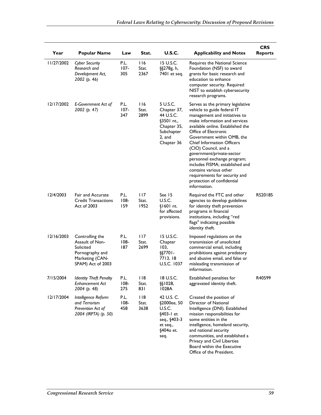| Year       | <b>Popular Name</b>                                                                                        | Law                    | Stat.                        | <b>U.S.C.</b>                                                                                           | <b>Applicability and Notes</b>                                                                                                                                                                                                                                                                                                                                                                                                                                                                     | <b>CRS</b><br><b>Reports</b> |
|------------|------------------------------------------------------------------------------------------------------------|------------------------|------------------------------|---------------------------------------------------------------------------------------------------------|----------------------------------------------------------------------------------------------------------------------------------------------------------------------------------------------------------------------------------------------------------------------------------------------------------------------------------------------------------------------------------------------------------------------------------------------------------------------------------------------------|------------------------------|
| 1/27/2002  | <b>Cyber Security</b><br>Research and<br>Development Act,<br>2002 (p. 46)                                  | P.L.<br>$107 -$<br>305 | 116<br>Stat.<br>2367         | 15 U.S.C.<br>§§278g, h,<br>7401 et seq.                                                                 | Requires the National Science<br>Foundation (NSF) to award<br>grants for basic research and<br>education to enhance<br>computer security. Required<br>NIST to establish cybersecurity<br>research programs.                                                                                                                                                                                                                                                                                        |                              |
| 12/17/2002 | E-Government Act of<br>2002 (p. 47)                                                                        | P.L.<br>$107 -$<br>347 | 116<br>Stat.<br>2899         | 5 U.S.C.<br>Chapter 37,<br>44 U.S.C.<br>§3501 nt.,<br>Chapter 35,<br>Subchapter<br>2. and<br>Chapter 36 | Serves as the primary legislative<br>vehicle to guide federal IT<br>management and initiatives to<br>make information and services<br>available online. Established the<br>Office of Electronic<br>Government within OMB, the<br><b>Chief Information Officers</b><br>(CIO) Council, and a<br>government/private-sector<br>personnel exchange program;<br>includes FISMA; established and<br>contains various other<br>requirements for security and<br>protection of confidential<br>information. |                              |
| 12/4/2003  | <b>Fair and Accurate</b><br><b>Credit Transactions</b><br>Act of 2003                                      | P.L.<br>$108 -$<br>159 | 117<br>Stat.<br>1952         | See 15<br>U.S.C.<br>§1601 nt.<br>for affected<br>provisions.                                            | Required the FTC and other<br>agencies to develop guidelines<br>for identity theft prevention<br>programs in financial<br>institutions, including "red<br>flags" indicating possible<br>identity theft.                                                                                                                                                                                                                                                                                            | RS20185                      |
| 12/16/2003 | Controlling the<br>Assault of Non-<br>Solicited<br>Pornography and<br>Marketing (CAN-<br>SPAM) Act of 2003 | P.L.<br>$108 -$<br>187 | 117<br>Stat.<br>2699         | 15 U.S.C.<br>Chapter<br>103,<br>§§7701-<br>7713, 18<br>U.S.C. 1037                                      | Imposed regulations on the<br>transmission of unsolicited<br>commercial email, including<br>prohibitions against predatory<br>and abusive email, and false or<br>misleading transmission of<br>information.                                                                                                                                                                                                                                                                                        |                              |
| 7/15/2004  | <b>Identity Theft Penalty</b><br><b>Enhancement Act</b><br>2004 (p. 48)                                    | P.L.<br>$108 -$<br>275 | 118<br>Stat.<br>831          | 18 U.S.C.<br>§§1028,<br>1028A                                                                           | Established penalties for<br>aggravated identity theft.                                                                                                                                                                                                                                                                                                                                                                                                                                            | R40599                       |
| 12/17/2004 | Intelligence Reform<br>and Terrorism<br>Prevention Act of<br>2004 (IRPTA) (p. 50)                          | P.L.<br>$108 -$<br>458 | $ $ $ $ $ $<br>Stat.<br>3638 | 42 U.S. C.<br>§2000ee, 50<br>U.S.C.<br>§403-1 et<br>seq., §403-3<br>et seq.,<br>§4040 et.<br>seq.       | Created the position of<br>Director of National<br>Intelligence (DNI). Established<br>mission responsibilities for<br>some entities in the<br>intelligence, homeland security,<br>and national security<br>communities, and established a<br>Privacy and Civil Liberties<br>Board within the Executive<br>Office of the President.                                                                                                                                                                 |                              |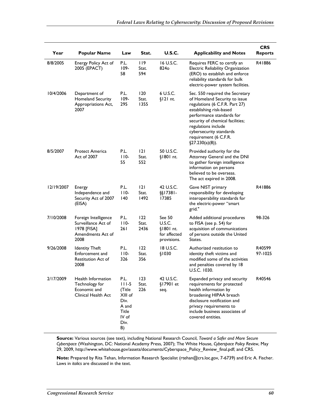| Year       | <b>Popular Name</b>                                                                     | Law                                                                                   | Stat.                       | <b>U.S.C.</b>                                                | <b>Applicability and Notes</b>                                                                                                                                                                                                                                                                   | <b>CRS</b><br><b>Reports</b> |
|------------|-----------------------------------------------------------------------------------------|---------------------------------------------------------------------------------------|-----------------------------|--------------------------------------------------------------|--------------------------------------------------------------------------------------------------------------------------------------------------------------------------------------------------------------------------------------------------------------------------------------------------|------------------------------|
| 8/8/2005   | Energy Policy Act of<br>2005 (EPACT)                                                    | P.L.<br>$109 -$<br>58                                                                 | <u>  19</u><br>Stat.<br>594 | 16 U.S.C.<br>824o                                            | Requires FERC to certify an<br>Electric Reliability Organization<br>(ERO) to establish and enforce<br>reliability standards for bulk<br>electric-power system facilities.                                                                                                                        | R41886                       |
| 10/4/2006  | Department of<br>Homeland Security<br>Appropriations Act,<br>2007                       | P.L.<br>$109 -$<br>295                                                                | 120<br>Stat.<br>1355        | 6 U.S.C.<br>$$121$ nt.                                       | Sec. 550 required the Secretary<br>of Homeland Security to issue<br>regulations (6 C.F.R. Part 27)<br>establishing risk-based<br>performance standards for<br>security of chemical facilities;<br>regulations include<br>cybersecurity standards<br>requirement (6 C.F.R.<br>$\S27.230(a)(8)$ ). |                              |
| 8/5/2007   | <b>Protect America</b><br>Act of 2007                                                   | P.L.<br>$110-$<br>55                                                                  | 2 <br>Stat.<br>552          | 50 U.S.C.<br>§1801 nt.                                       | Provided authority for the<br>Attorney General and the DNI<br>to gather foreign intelligence<br>information on persons<br>believed to be overseas.<br>The act expired in 2008.                                                                                                                   |                              |
| 12/19/2007 | Energy<br>Independence and<br>Security Act of 2007<br>(EISA)                            | P.L.<br>$110-$<br>140                                                                 | 2 <br>Stat.<br>1492         | 42 U.S.C.<br>§§17381-<br>17385                               | Gave NIST primary<br>responsibility for developing<br>interoperability standards for<br>the electric-power "smart<br>grid."                                                                                                                                                                      | R41886                       |
| 7/10/2008  | Foreign Intelligence<br>Surveillance Act of<br>1978 [FISA]<br>Amendments Act of<br>2008 | P.L.<br>$110-$<br>26 I                                                                | 122<br>Stat.<br>2436        | See 50<br>U.S.C.<br>§1801 nt.<br>for affected<br>provisions. | Added additional procedures<br>to FISA (see p. 54) for<br>acquisition of communications<br>of persons outside the United<br>States.                                                                                                                                                              | 98-326                       |
| 9/26/2008  | <b>Identity Theft</b><br>Enforcement and<br>Restitution Act of<br>2008                  | P.L.<br>$110-$<br>326                                                                 | 122<br>Stat.<br>356         | 18 U.S.C.<br>\$1030                                          | Authorized restitution to<br>identity theft victims and<br>modified some of the activities<br>and penalties covered by 18<br>U.S.C. 1030.                                                                                                                                                        | R40599<br>97-1025            |
| 2/17/2009  | Health Information<br>Technology for<br>Economic and<br>Clinical Health Act             | P.L.<br>$111-5$<br>(Title<br>XIII of<br>Div.<br>A and<br>Title<br>IV of<br>Div.<br>B) | 123<br>Stat.<br>226         | 42 U.S.C.<br>§17901 et<br>seq.                               | Expanded privacy and security<br>requirements for protected<br>health information by<br>broadening HIPAA breach<br>disclosure notification and<br>privacy requirements to<br>include business associates of<br>covered entities.                                                                 | R40546                       |

**Source:** Various sources (see text), including National Research Council, *Toward a Safer and More Secure Cyberspace* (Washington, DC: National Academy Press, 2007); The White House, *Cyberspace Policy Review*, May 29, 2009, http://www.whitehouse.gov/assets/documents/Cyberspace\_Policy\_Review\_final.pdf; and CRS.

**Note:** Prepared by Rita Tehan, Information Research Specialist (rtehan@crs.loc.gov, 7-6739) and Eric A. Fischer. Laws in *italics* are discussed in the text.